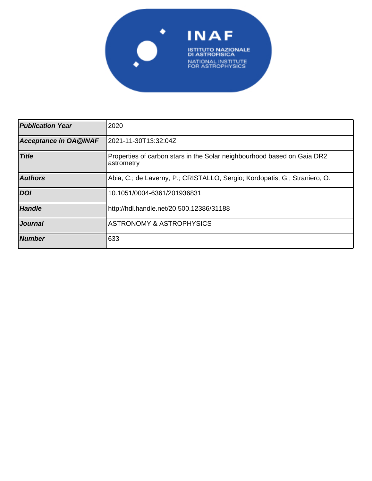

| <b>Publication Year</b>      | 2020                                                                                  |
|------------------------------|---------------------------------------------------------------------------------------|
| <b>Acceptance in OA@INAF</b> | 2021-11-30T13:32:04Z                                                                  |
| <b>Title</b>                 | Properties of carbon stars in the Solar neighbourhood based on Gaia DR2<br>astrometry |
| <b>Authors</b>               | Abia, C.; de Laverny, P.; CRISTALLO, Sergio; Kordopatis, G.; Straniero, O.            |
| <b>DOI</b>                   | 10.1051/0004-6361/201936831                                                           |
| <b>Handle</b>                | http://hdl.handle.net/20.500.12386/31188                                              |
| <b>Journal</b>               | <b>ASTRONOMY &amp; ASTROPHYSICS</b>                                                   |
| <b>Number</b>                | 633                                                                                   |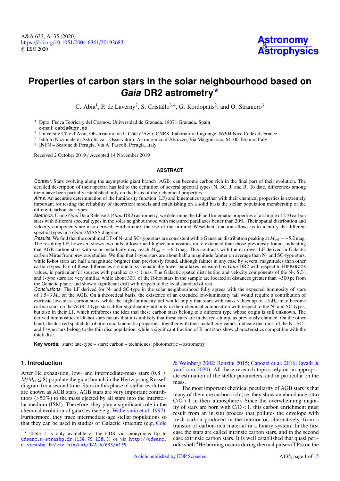# **Properties of carbon stars in the solar neighbourhood based on Gaia DR2 astrometry**?

C. Abia<sup>1</sup>, P. de Laverny<sup>2</sup>, S. Cristallo<sup>3,4</sup>, G. Kordopatis<sup>2</sup>, and O. Straniero<sup>3</sup>

<sup>1</sup> Dpto. Física Teórica y del Cosmos, Universidad de Granada, 18071 Granada, Spain e-mail: cabia@ugr.es

<sup>2</sup> Université Côte d'Azur, Observatoire de la Côte d'Azur, CNRS, Laboratoire Lagrange, 06304 Nice Cedex 4, France

3 Istituto Nazionale di Astrofisica – Osservatorio Astronomico d'Abruzzo, Via Maggini snc, 64100 Teramo, Italy

4 INFN – Sezione di Perugia, Via A. Pascoli, Perugia, Italy

Received 2 October 2019 / Accepted 14 November 2019

## **ABSTRACT**

Context. Stars evolving along the asymptotic giant branch (AGB) can become carbon rich in the final part of their evolution. The detailed description of their spectra has led to the definition of several spectral types: N, SC, J, and R. To date, differences among them have been partially established only on the basis of their chemical properties.

Aims. An accurate determination of the luminosity function (LF) and kinematics together with their chemical properties is extremely important for testing the reliability of theoretical models and establishing on a solid basis the stellar population membership of the different carbon star types.

Methods. Using *Gaia* Data Release 2 (*Gaia* DR2) astrometry, we determine the LF and kinematic properties of a sample of 210 carbon stars with different spectral types in the solar neighbourhood with measured parallaxes better than 20%. Their spatial distribution and velocity components are also derived. Furthermore, the use of the infrared Wesenheit function allows us to identify the different spectral types in a *Gaia*-2MASS diagram.

Results. We find that the combined LF of N- and SC-type stars are consistent with a Gaussian distribution peaking at *M*<sub>bol</sub> ∼ −5.2 mag. The resulting LF, however, shows two tails at lower and higher luminosities more extended than those previously found, indicating that AGB carbon stars with solar metallicity may reach *<sup>M</sup>*bol ∼ −6.0 mag. This contrasts with the narrower LF derived in Galactic carbon Miras from previous studies. We find that J-type stars are about half a magnitude fainter on average than N- and SC-type stars, while R-hot stars are half a magnitude brighter than previously found, although fainter in any case by several magnitudes than other carbon types. Part of these differences are due to systematically lower parallaxes measured by *Gaia* DR2 with respect to Hipparcos values, in particular for sources with parallax  $\pi$  < 1 mas. The Galactic spatial distribution and velocity components of the N-, SC-, and J-type stars are very similar, while about 30% of the R-hot stars in the sample are located at distances greater than ∼500 pc from the Galactic plane, and show a significant drift with respect to the local standard of rest.

Conclusions. The LF derived for N- and SC-type in the solar neighbourhood fully agrees with the expected luminosity of stars of 1.5−3  $M_{\odot}$  on the AGB. On a theoretical basis, the existence of an extended low-luminosity tail would require a contribution of extrinsic low-mass carbon stars, while the high-luminosity tail would imply that stars with mass values up to ~5 *M*<sub>⊙</sub> may become carbon stars on the AGB. J-type stars differ significantly not only in their chemical composition with respect to the N- and SC-types, but also in their LF, which reinforces the idea that these carbon stars belong to a different type whose origin is still unknown. The derived luminosities of R-hot stars means that it is unlikely that these stars are in the red-clump, as previously claimed. On the other hand, the derived spatial distribution and kinematic properties, together with their metallicity values, indicate that most of the N-, SC-, and J-type stars belong to the thin disc population, while a significant fraction of R-hot stars show characteristics compatible with the thick disc.

**Key words.** stars: late-type – stars: carbon – techniques: photometric – astrometry

# **1. Introduction**

After He exhaustion, low- and intermediate-mass stars  $(0.8 \le$  $M/M_{\odot} \leq 8$ ) populate the giant branch in the Hertzsprung Russell diagram for a second time. Stars in this phase of stellar evolution are known as AGB stars. AGB stars are very important contributors (>50%) to the mass ejected by all stars into the interstellar medium (ISM). Therefore, they play a significant role in the chemical evolution of galaxies (see e.g. Wallerstein et al. 1997). Furthermore, they trace intermediate-age stellar populations so that they can be used in studies of Galactic structure (e.g. Cole

& Weinberg 2002; Renzini 2015; Capozzi et al. 2016; Javadi & van Loon 2020). All these research topics rely on an appropriate estimation of the stellar parameters, and in particular on the mass.

The most important chemical peculiarity of AGB stars is that many of them are carbon rich (i.e. they show an abundance ratio  $C/O > 1$  in their atmosphere). Since the overwhelming majority of stars are born with  $C/O < 1$ , this carbon enrichment must result from an in situ process that pollutes the envelope with fresh carbon produced in the interior or, alternatively, from a transfer of carbon-rich material in a binary system. In the first case the stars are called intrinsic carbon stars, and in the second case extrinsic carbon stars. It is well established that quasi periodic shell <sup>4</sup>He burning occurs during thermal pulses (TPs) on the

<sup>?</sup> Table 1 is only available at the CDS via anonymous ftp to cdsarc.u-strasbg.fr ([130.79.128.5](ftp://130.79.128.5)) or via [http://cdsarc.](http://cdsarc.u-strasbg.fr/viz-bin/cat/J/A+A/633/A135) u-strasbg.fr/viz-bin/cat/J/A+A/633/A135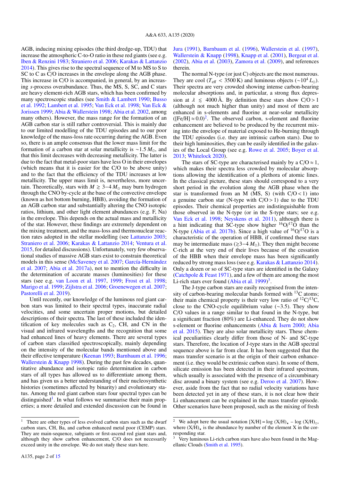AGB, inducing mixing episodes (the third dredge-up, TDU) that increase the atmospheric C-to-O ratio in these red giants (see e.g. Iben & Renzini 1983; Straniero et al. 2006; Karakas & Lattanzio 2014). This gives rise to the spectral sequence of M to MS to S to SC to C as C/O increases in the envelope along the AGB phase. This increase in C/O is accompanied, in general, by an increasing *s*-process overabundance. Thus, the MS, S, SC, and C stars are heavy element-rich AGB stars, which has been confirmed by many spectroscopic studies (see Smith & Lambert 1990; Busso et al. 1992; Lambert et al. 1995; Van Eck et al. 1998; Van Eck & Jorissen 1999; Abia & Wallerstein 1998; Abia et al. 2002, among many others). However, the mass range for the formation of an AGB carbon star is still rather controversial. This is mainly due to our limited modelling of the TDU episodes and to our poor knowledge of the mass-loss rate occurring during the AGB. Even so, there is an ample consensus that the lower mass limit for the formation of a carbon star at solar metallicity is ~1.5  $M_{\odot}$ , and that this limit decreases with decreasing metallicity. The latter is due to the fact that metal-poor stars have less O in their envelopes (which means that it is easier for the C/O to be above unity) and to the fact that the efficiency of the TDU increases at low metallicity. The upper mass limit is, nevertheless, more uncertain. Theoretically, stars with  $M \geq 3-4 M_{\odot}$  may burn hydrogen through the CNO by-cycle at the base of the convective envelope (known as hot bottom burning, HBB), avoiding the formation of an AGB carbon star and substantially altering the CNO isotopic ratios, lithium, and other light element abundances (e.g. F, Na) in the envelope. This depends on the actual mass and metallicity of the star. However, these findings are extremely dependent on the mixing treatment, and the mass-loss and thermonuclear reaction rates adopted in the stellar modelling (see Lattanzio 2003; Straniero et al. 2006; Karakas & Lattanzio 2014; Ventura et al. 2015, for detailed discussions). Unfortunately, very few observational studies of massive AGB stars exist to constrain theoretical models in this sense (McSaveney et al. 2007; García-Hernández et al. 2007; Abia et al. 2017a), not to mention the difficulty in the determination of accurate masses (luminosities) for these stars (see e.g. van Loon et al. 1997, 1999; Frost et al. 1998; Marigo et al. 1999; Zijlstra et al. 2006; Groenewegen et al. 2007; Pastorelli et al. 2019).

Until recently, our knowledge of the luminous red giant carbon stars was limited to their spectral types, inaccurate radial velocities, and some uncertain proper motions, but detailed descriptions of their spectra. The last of these included the identification of key molecules such as  $C_2$ , CH, and CN in the visual and infrared wavelengths and the recognition that some had enhanced lines of heavy elements. There are several types of carbon stars classified spectroscopically, mainly depending on the intensity of the molecular bands mentioned above and their effective temperature (Keenan 1993; Barnbaum et al. 1996; Wallerstein  $&$  Knapp 1998). During the past few decades, quantitative abundance and isotopic ratio determination in carbon stars of all types has allowed us to differentiate among them, and has given us a better understanding of their nucleosynthetic histories (sometimes affected by binarity) and evolutionary status. Among the red giant carbon stars four spectral types can be distinguished<sup>1</sup>. In what follows we summarise their main properties; a more detailed and extended discussion can be found in Jura (1991), Barnbaum et al. (1996), Wallerstein et al. (1997), Wallerstein & Knapp (1998), Knapp et al. (2001), Bergeat et al. (2002), Abia et al. (2003), Zamora et al. (2009), and references therein.

The normal N-type (or just C) objects are the most numerous. They are cool ( $T_{\text{eff}}$  < 3500 K) and luminous objects (~10<sup>4</sup>  $L_{\odot}$ ). Their spectra are very crowded showing intense carbon-bearing molecular absorptions and, in particular, a strong flux depression at  $\lambda \leq 4000 \text{ Å}$ . By definition these stars show C/O > 1 (although not much higher than unity) and most of them are enhanced in s-elements and fluorine at near-solar metallicity ([Fe/H]  $\approx 0.0$ )<sup>2</sup>. The observed carbon, s-element and fluorine enhancement are believed to be produced by the recurrent mixing into the envelope of material exposed to He-burning through the TDU episodes (i.e. they are intrinsic carbon stars). Due to their high luminosities, they can be easily identified in the galaxies of the Local Group (see e.g. Rowe et al. 2005; Boyer et al. 2013; Whitelock 2020).

The stars of SC-type are characterised mainly by a  $C/O \approx 1$ , which makes their spectra less crowded by molecular absorptions allowing the identification of a plethora of atomic lines. In the classical picture, these stars should correspond to a very short period in the evolution along the AGB phase when the star is transformed from an M (MS, S) (with  $C/O < 1$ ) into a genuine carbon star (N-type with  $C/O > 1$ ) due to the TDU episodes. Their chemical properties are indistinguishable from those observed in the N-type (or in the S-type stars; see e.g. Van Eck et al. 1998; Neyskens et al. 2011), although there is a hint indicating that SC-type show higher  ${}^{16}O/{}^{17}O$  than the N-type (Abia et al. 2017b). Since a high value of  $16O/17O$  is a characteristic of the operation of HBB, if confirmed these stars may be intermediate mass ( $\geq 3-4$  *M*<sub>☉</sub>). They then might become C-rich at the very end of their lives because of the cessation of the HBB when their envelope mass has been significantly reduced by strong mass loss (see e.g. Karakas & Lattanzio 2014). Only a dozen or so of SC-type stars are identified in the Galaxy (Catchpole & Feast 1971), and a few of them are among the most Li-rich stars ever found  $(Abia et al. 1999)^3$ .

The J-type carbon stars are easily recognised from the intensity of carbon-bearing molecular bands formed with  $^{13}$ C atoms; their main chemical property is their very low ratio of  ${}^{12}C/{}^{13}C$ , close to the CNO-cycle equilibrium value (∼3.5). They show C/O values in a range similar to that found in the N-type, but a significant fraction (80%) are Li-enhanced. They do not show s-element or fluorine enhancements (Abia & Isern 2000; Abia et al. 2015). They are also solar metallicity stars. These chemical peculiarities clearly differ from those of N- and SC-type stars. Therefore, the location of J-type stars in the AGB spectral sequence above is far from clear. It has been suggested that the mass transfer scenario is at the origin of their carbon enhancement (i.e. they would be extrinsic carbon stars). In some of them, silicate emission has been detected in their infrared spectrum, which usually is associated with the presence of a circumbinary disc around a binary system (see e.g. Deroo et al. 2007). However, aside from the fact that no radial velocity variations have been detected yet in any of these stars, it is not clear how their Li enhancement can be explained in the mass transfer episode. Other scenarios have been proposed, such as the mixing of fresh

<sup>&</sup>lt;sup>1</sup> There are other types of less evolved carbon stars such as the dwarf carbon stars, CH, Ba, and carbon enhanced metal poor (CEMP) stars. They are main-sequence, subgiants or first-ascend red giant stars and, although they show carbon enhancement, C/O does not necessarily exceed unity in the envelope. We do not study these stars here.

<sup>&</sup>lt;sup>2</sup> We adopt here the usual notation  $[X/H] = log (X/H)_\star - log (X/H)_\odot$ , where  $(X/H)_\star$  is the abundance by number of the element X in the corresponding star.

Very luminous Li-rich carbon stars have also been found in the Magellanic Clouds (Smith et al. 1995).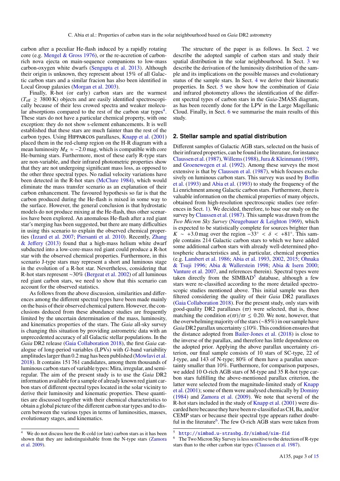carbon after a peculiar He-flash induced by a rapidly rotating core (e.g. Mengel & Gross 1976), or the re-accretion of carbonrich nova ejecta on main-sequence companions to low-mass carbon-oxygen white dwarfs (Sengupta et al. 2013). Although their origin is unknown, they represent about 15% of all Galactic carbon stars and a similar fracion has also been identified in Local Group galaxies (Morgan et al. 2003).

Finally, R-hot (or early) carbon stars are the warmest  $(T_{\text{eff}} \geq 3800 \text{ K})$  objects and are easily identified spectroscopically because of their less crowed spectra and weaker molecular absorptions compared to the rest of the carbon star types<sup>4</sup>. These stars do not have a particular chemical property, with one exception: they do not show s-element enhancements. It is well established that these stars are much fainter than the rest of the carbon types. Using Hipparcos parallaxes, Knapp et al. (2001) placed them in the red-clump region on the H-R diagram with a mean luminosity  $M_K \approx -2.0$  mag, which is compatible with core He-burning stars. Furthermore, most of these early R-type stars are non-variable, and their infrared photometric properties show that they are not undergoing significant mass loss, as opposed to the other three spectral types. No radial velocity variations have been detected in the R-hot stars (McClure 1984), which would eliminate the mass transfer scenario as an explanation of their carbon enhancement. The favoured hypothesis so far is that the carbon produced during the He-flash is mixed in some way to the surface. However, the general conclusion is that hydrostatic models do not produce mixing at the He-flash, thus other scenarios have been explored. An anomalous He-flash after a red giant star's merging has been suggested, but there are many difficulties in using this scenario to explain the observed chemical properties (Izzard et al. 2007; Piersanti et al. 2010). Recently, Zhang & Jeffery (2013) found that a high-mass helium white dwarf subducted into a low-core-mass red giant could produce a R-hot star with the observed chemical properties. Furthermore, in this scenario J-type stars may represent a short and luminous stage in the evolution of a R-hot star. Nevertheless, considering that R-hot stars represent ∼30% (Bergeat et al. 2002) of all luminous red giant carbon stars, we need to show that this scenario can account for the observed statistics.

As follows from the above discussion, similarities and differences among the different spectral types have been made mainly on the basis of their observed chemical pattern. However, the conclusions deduced from these abundance studies are frequently limited by the uncertain determination of the mass, luminosity, and kinematics properties of the stars. The *Gaia* all-sky survey is changing this situation by providing astrometric data with an unprecedented accuracy of all Galactic stellar populations. In the *Gaia* DR2 release (Gaia Collaboration 2018), the first *Gaia* catalogue of long-period variables (LPVs) with *G*-band variability amplitudes larger than 0.2 mag has been published (Mowlavi et al. 2018). It contains 151 761 candidates, among them thousands of luminous carbon stars of variable types: Mira, irregular, and semiregular. The aim of the present study is to use the *Gaia* DR2 information available for a sample of already known red giant carbon stars of different spectral types located in the solar vicinity to derive their luminosity and kinematic properties. These quantities are discussed together with their chemical characteristics to obtain a global picture of the different carbon star types and to discern between the various types in terms of luminosities, masses, evolutionary stages, and kinematics.

The structure of the paper is as follows. In Sect. 2 we describe the adopted sample of carbon stars and study their spatial distribution in the solar neighbourhood. In Sect. 3 we describe the derivation of the luminosity distribution of the sample and its implications on the possible masses and evolutionary status of the sample stars. In Sect. 4 we derive their kinematic properties. In Sect. 5 we show how the combination of *Gaia* and infrared photometry allows the identification of the different spectral types of carbon stars in the *Gaia*-2MASS diagram, as has been recently done for the LPV in the Large Magellanic Cloud. Finally, in Sect. 6 we summarise the main results of this study.

## **2. Stellar sample and spatial distribution**

Different samples of Galactic AGB stars, selected on the basis of their infrared properties, can be found in the literature, for instance Claussen et al.(1987),Willems(1988),Jura & Kleinmann (1989), and Groenewegen et al. (1992). Among these surveys the most extensive is that by Claussen et al. (1987), which focuses exclusively on luminous carbon stars. This survey was used by Boffin et al. (1993) and Abia et al. (1993) to study the frequency of the Li enrichment among Galactic carbon stars. Furthermore, there is valuable information on the chemical properties of many objects, obtained from high-resolution spectroscopic studies (see references in Sect. 1). We decided, therefore, to base our study on the survey by Claussen et al. (1987). This sample was drawn from the *Two Micron Sky Survey* (Neugebauer & Leighton 1969), which is expected to be statistically complete for sources brighter than  $K \sim +3.0$  mag over the region  $-33° < \delta < +81°$ . This sample contains 214 Galactic carbon stars to which we have added ple contains 214 Galactic carbon stars to which we have added some additional carbon stars with already well-determined photospheric characteristics and, in particular, chemical properties (e.g. Lambert et al. 1986; Abia et al. 1993, 2002, 2015; Ohnaka & Tsuji 1996; Abia & Wallerstein 1998; Abia & Isern 2000; Vanture et al. 2007, and references therein). Spectral types were taken directly from the SIMBAD<sup>5</sup> database, although a few stars were re-classified according to the more detailed spectroscopic studies mentioned above. This initial sample was then filtered considering the quality of their *Gaia* DR2 parallaxes (Gaia Collaboration 2018). For the present study, only stars with good-quality DR2 parallaxes  $(\varpi)$  were selected, that is, those matching the condition  $\epsilon(\varpi)/\varpi \leq 0.20$ . We note, however, that the overwhelming majority of the stars (∼85%) in our sample have *Gaia* DR2 parallax uncertainty ≤10%. This condition ensures that the distance adopted from Bailer-Jones et al. (2018) is close to the inverse of the parallax, and therefore has little dependence on the adopted prior. Applying the above parallax uncertainty criterion, our final sample consists of 10 stars of SC-type, 22 of J-type, and 143 of N-type; 80% of them have a parallax uncertainty smaller than 10%. Furthermore, for comparison purposes, we added 10 O-rich AGB stars of M-type and 35 R-hot type carbon stars fulfilling the above-mentioned parallax criterion, the latter were selected from the magnitude-limited study of Knapp et al. (2001); some of them were analysed chemically by Dominy (1984) and Zamora et al. (2009). We note that several of the R-hot stars included in the study of Knapp et al. (2001) were discarded here because they have been re-classified as CH, Ba, and/or CEMP stars or because their spectral type appears rather doubtful in the literature<sup>6</sup>. The few O-rich AGB stars were taken from

<sup>4</sup> We do not discuss here the R-cold (or late) carbon stars as it has been shown that they are indistinguishable from the N-type stars (Zamora et al. 2009).

<sup>5</sup> <http://simbad.u-strasbg.fr/simbad/sim-fid>

The Two Micron Sky Survey is less sensitive to the detection of R-type stars than to the other carbon star types (Claussen et al. 1987).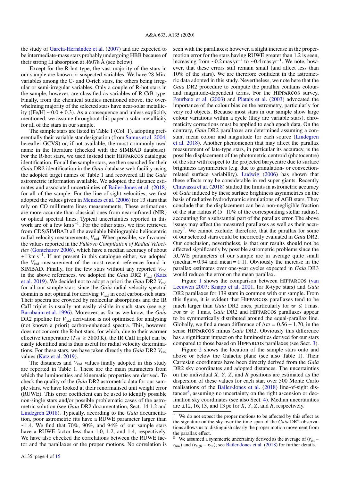the study of García-Hernández et al. (2007) and are expected to be intermediate-mass stars probably undergoing HBB because of their strong Li absorption at  $\lambda$ 6078 Å (see below).

Except for the R-hot type, the vast majority of the stars in our sample are known or suspected variables. We have 28 Mira variables among the C- and O-rich stars, the others being irregular or semi-irregular variables. Only a couple of R-hot stars in the sample, however, are classified as variables of R CrB type. Finally, from the chemical studies mentioned above, the overwhelming majority of the selected stars have near-solar metallicity ([Fe/H] <sup>∼</sup> <sup>0</sup>.<sup>0</sup> <sup>±</sup> <sup>0</sup>.3). As a consequence and unless explicitly mentioned, we assume throughout this paper a solar metallicity for all of the stars in our sample.

The sample stars are listed in Table 1 (Col. 1), adopting preferentially their variable star designation (from Samus et al. 2004, hereafter GCVS) or, if not available, the most commonly used name in the literature (checked with the SIMBAD database). For the R-hot stars, we used instead their Hipparcos catalogue identification. For all the sample stars, we then searched for their *Gaia* DR2 identification in the *Gaia* database web facility using the adopted target names of Table 1 and recovered all the *Gaia* astrometric information available. We adopted the distance estimates and associated uncertainties of Bailer-Jones et al. (2018) for all of the sample. For the line-of-sight velocities, we first adopted the values given in Menzies et al. (2006) for 13 stars that rely on CO millimetre lines measurements. These estimations are more accurate than classical ones from near-infrared (NIR) or optical spectral lines. Typical uncertainties reported in this work are of a few km s<sup>−</sup><sup>1</sup> . For the other stars, we first retrieved from CDS/SIMBAD all the available bibliographic heliocentric radial velocity measurements, *V*rad. When possible, we favoured the values reported in the *Pulkovo Compilation of Radial Velocities* (Gontcharov 2006), which have a median accuracy of about ±1 km s<sup>−</sup><sup>1</sup> . If not present in this catalogue either, we adopted the *V*rad measurement of the most recent reference found in SIMBAD. Finally, for the few stars without any reported  $V_{rad}$ in the above references, we adopted the *Gaia* DR2 *V*rad (Katz et al. 2019). We decided not to adopt a priori the *Gaia* DR2 *V*rad for all our sample stars since the *Gaia* radial velocity spectral domain is not optimal for deriving  $V_{rad}$  in cool carbon-rich stars. Their spectra are crowded by molecular absorptions and the IR CaII triplet is usually not easily visible in such stars (see e.g. Barnbaum et al. 1996). Moreover, as far as we know, the *Gaia* DR2 pipeline for  $V_{rad}$  derivation is not optimised for analysing (not known a priori) carbon-enhanced spectra. This, however, does not concern the R-hot stars, for which, due to their warmer effective temperature ( $T_{\text{eff}} \geq 3800 \text{ K}$ ), the IR CaII triplet can be easily identified and is thus useful for radial velocity determinations. For these stars, we have taken directly the *Gaia* DR2 *V*rad values (Katz et al. 2019).

The distances and  $V_{rad}$  values finally adopted in this study are reported in Table 1. These are the main parameters from which the luminosities and kinematic properties are derived. To check the quality of the *Gaia* DR2 astrometric data for our sample stars, we have looked at their renormalised unit weight error (RUWE). This error coefficient can be used to identify possible non-single stars and/or possible problematic cases of the astrometric solution (see *Gaia* DR2 documentation, Sect. 14.1.2 and Lindegren 2018). Typically, according to the *Gaia* documentation, poor astrometric fits have a RUWE parameter larger than  $~\sim$ 1.4. We find that 70%, 90%, and 94% of our sample stars have a RUWE factor less than 1.0, 1.2, and 1.4, respectively. We have also checked the correlations between the RUWE factor and the parallaxes or the proper motions. No correlation is seen with the parallaxes; however, a slight increase in the propermotion error for the stars having RUWE greater than 1.2 is seen, increasing from ~0.2 mas yr<sup>−1</sup> to ~0.4 mas yr<sup>−1</sup>. We note, how-<br>ever that these errors still remain small (and affect less than ever, that these errors still remain small (and affect less than 10% of the stars). We are therefore confident in the astrometric data adopted in this study. Nevertheless, we note here that the *Gaia* DR2 procedure to compute the parallax contains colourand magnitude-dependent terms. For the Hipparcos survey, Pourbaix et al. (2003) and Platais et al. (2003) advocated the importance of the colour bias on the astrometry, particularly for very red objects. Because most stars in our sample show large colour variations within a cycle (they are variable stars), chromaticity corrections must be applied to each epoch data. On the contrary, *Gaia* DR2 parallaxes are determined assuming a constant mean colour and magnitude for each source (Lindegren et al. 2018). Another phenomenon that may affect the parallax measurement of late-type stars, in particular its accuracy, is the possible displacement of the photometric centroid (photocentre) of the star with respect to the projected barycentre due to surface brightness asymmetries (e.g. due to granulation- or convectionrelated surface variability). Ludwig (2006) has shown that these effects may be considerable in red super giants. Recently Chiavassa et al. (2018) studied the limits in astrometric accuracy of *Gaia* induced by these surface brightness asymmetries on the basis of radiative hydrodynamic simulations of AGB stars. They conclude that the displacement can be a non-negligible fraction of the star radius *R* (5−10% of the corresponding stellar radius), accounting for a substantial part of the parallax error. The above issues may affect the measured parallaxes as well as their accuracy<sup>7</sup>. We cannot exclude, therefore, that the parallax for some of our selected stars could be incorrectly evaluated in *Gaia* DR2. Our conclusion, nevertheless, is that our results should not be affected significantly by possible astrometric problems since the RUWE parameters of our sample are in average quite small  $(\text{median} = 0.94 \text{ and } \text{mean} = 1.1)$ . Obviously the increase in the parallax estimates over one-year cycles expected in *Gaia* DR3 would reduce the error on the mean parallax.

Figure 1 shows the comparison between HIPPARCOS (van Leeuwen 2007; Knapp et al. 2001, for R-type stars) and *Gaia* DR2 parallaxes for 139 stars in common with our sample. From this figure, it is evident that Hipparcos parallaxes tend to be much larger than *Gaia* DR2 ones, particularly for  $\varpi \leq 1$  mas. For  $\varpi \geq 1$  mas, *Gaia* DR2 and HIPPARCOS parallaxes appear to be symmetrically distributed around the equal-parallax line. Globally, we find a mean difference of  $\Delta \varpi = 0.56 \pm 1.70$ , in the sense Hipparcos minus *Gaia* DR2. Obviously this difference has a significant impact on the luminosities derived for our stars compared to those based on Hipparcos parallaxes (see Sect. 3).

Figure 2 shows the location of the sample stars onto and above or below the Galactic plane (see also Table 1). Their Cartesian coordinates have been directly derived from the *Gaia* DR2 sky coordinates and adopted distances. The uncertainties on the individual *X*, *Y*, *Z*, and *R* positions are estimated as the dispersion of these values for each star, over 500 Monte Carlo realisations of the Bailer-Jones et al. (2018) line-of-sight distances<sup>8</sup>, assuming no uncertainty on the right ascension or declination sky coordinates (see also Sect. 4). Median uncertainties are  $\pm 12$ , 16, 13, and 13 pc for *X*, *Y*, *Z*, and *R*, respectively.

We do not expect the proper motions to be affected by this effect as the signature on the sky over the time span of the *Gaia* DR2 observations allows us to distinguish clearly the proper motion movement from the parallax effect.

We assumed a symmetric uncertainty derived as the average of  $(r_{est}$  $r_{\text{low}}$ ) and ( $r_{\text{high}} - r_{\text{est}}$ ); see Bailer-Jones et al. (2018) for further details.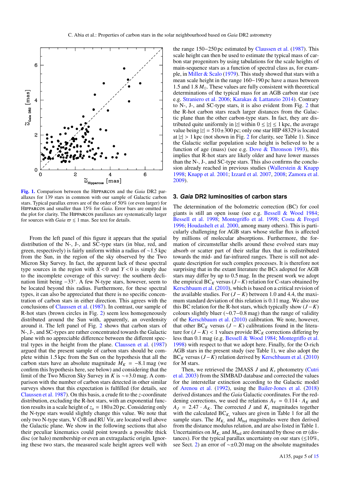

[Fig. 1.](https://dexter.edpsciences.org/applet.php?DOI=10.1051/0004-6361/201936831&pdf_id=1) Comparison between the Hipparcos and the *Gaia* DR2 parallaxes for 139 stars in common with our sample of Galactic carbon stars. Typical parallax errors are of the order of 50% (or even larger) for <sup>H</sup>ipparcos and smaller than 15% for *Gaia*. Error bars are omitted in the plot for clarity. The Hipparcos parallaxes are systematically larger for sources with *Gaia*  $\varpi \leq 1$  mas. See text for details.

From the left panel of this figure it appears that the spatial distribution of the N-, J-, and SC-type stars (in blue, red, and green, respectively) is fairly uniform within a radius of <sup>∼</sup>1.5 kpc from the Sun, in the region of the sky observed by the Two Micron Sky Survey. In fact, the apparent lack of these spectral type sources in the region with  $X < 0$  and  $Y < 0$  is simply due to the incomplete coverage of this survey: the southern declination limit being −33◦ . A few N-type stars, however, seem to be located beyond this radius. Furthermore, for these spectral types, it can also be appreciated that there is no specific concentration of carbon stars in either direction. This agrees with the conclusions of Claussen et al. (1987). In contrast, our sample of R-hot stars (brown circles in Fig. 2) seem less homogeneously distributed around the Sun with, apparently, an overdensity around it. The left panel of Fig. 2 shows that carbon stars of N-, J-, and SC-types are rather concentrated towards the Galactic plane with no appreciable difference between the different spectral types in the height from the plane. Claussen et al. (1987) argued that the present sample of carbon stars should be complete within 1.5 kpc from the Sun on the hypothesis that all the carbon stars have an absolute magnitude  $M_K = -8.1$  mag (we confirm this hypothesis here, see below) and considering that the limit of the Two Micron Sky Survey in *<sup>K</sup>* is <sup>∼</sup>+3.0 mag. A comparison with the number of carbon stars detected in other similar surveys shows that this expectation is fulfilled (for details, see Claussen et al. 1987). On this basis, a crude fit to the *z*-coordinate distribution, excluding the R-hot stars, with an exponential function results in a scale height of  $z_0 = 180 \pm 20$  pc. Considering only the N-type stars would slightly change this value. We note that only two N-type stars, V CrB and RU Vir, are located well above the Galactic plane. We show in the following sections that also their peculiar kinematics could point towards a possible thick disc (or halo) membership or even an extragalactic origin. Ignoring these two stars, the measured scale height agrees well with

the range 150−250 pc estimated by Claussen et al. (1987). This scale height can then be used to estimate the typical mass of carbon star progenitors by using tabulations for the scale heights of main-sequence stars as a function of spectral class as, for example, in Miller & Scalo (1979). This study showed that stars with a mean scale height in the range 160−190 pc have a mass between 1.5 and 1.8  $M_{\odot}$ . These values are fully consistent with theoretical determinations of the typical mass for an AGB carbon star (see e.g. Straniero et al. 2006; Karakas & Lattanzio 2014). Contrary to N-, J-, and SC-type stars, it is also evident from Fig. 2 that the R-hot carbon stars reach larger distances from the Galactic plane than the other carbon-type stars. In fact, they are distributed quite uniformly in |*z*| within  $0 \le |z| \le 1$  kpc, the average value being  $|z| = 510 \pm 300$  pc; only one star HIP 48329 is located at  $|z| > 1$  kpc (not shown in Fig. 2 for clarity, see Table 1). Since the Galactic stellar population scale height is believed to be a function of age (mass) (see e.g. Dove  $&$  Thronson 1993), this implies that R-hot stars are likely older and have lower masses than the N-, J-, and SC-type stars. This also confirms the conclusion already reached in previous studies (Wallerstein & Knapp 1998; Knapp et al. 2001; Izzard et al. 2007, 2008; Zamora et al. 2009).

#### **3. Gaia DR2 luminosities of carbon stars**

The determination of the bolometric correction (BC) for cool giants is still an open issue (see e.g. Bessell & Wood 1984; Bessell et al. 1998; Montegriffo et al. 1998; Costa & Frogel 1996; Houdashelt et al. 2000, among many others). This is particularly challenging for AGB stars whose stellar flux is affected by millions of molecular absorptions. Furthermore, the formation of circumstellar shells around these evolved stars may absorb or scatter part of their stellar flux that is redistributed towards the mid- and far-infrared ranges. There is still not adequate description for such complex processes. It is therefore not surprising that in the extant literature the BCs adopted for AGB stars may differ by up to 0.5 mag. In the present work we adopt the empirical BC<sub>K</sub> versus ( $J-K$ ) relation for C-stars obtained by Kerschbaum et al. (2010), which is based on a critical revision of the available studies. For  $(J - K)$  between 1.0 and 4.4, the maximum standard deviation of this relation is 0.11 mag. We also use this BC relation for the R-hot stars, which typically show  $(J - K)$ colours slightly bluer (∼0.7−0.8 mag) than the range of validity of the Kerschbaum et al. (2010) calibration. We note, however, that other  $BC_K$  versus  $(J - K)$  calibrations found in the literature for  $(J - K)$  < 1 values provide BC<sub>K</sub> corrections differing by less than 0.1 mag (e.g. Bessell & Wood 1984; Montegriffo et al. 1998) with respect to that we adopt here. Finally, for the O-rich AGB stars in the present study (see Table 1), we also adopt the BC*<sup>K</sup>* versus (*J*−*K*) relation derived by Kerschbaum et al. (2010) for M stars.

Then, we retrieved the 2MASS *J* and *K<sup>s</sup>* photometry (Cutri et al. 2003) from the SIMBAD database and corrected the values for the interstellar extinction according to the Galactic model of Arenou et al. (1992), using the Bailer-Jones et al. (2018) derived distances and the *Gaia* Galactic coordinates. For the reddening corrections, we used the relations  $A_V = 0.114 \cdot A_K$  and  $A_J = 2.47 \cdot A_K$ . The corrected *J* and  $K_s$  magnitudes together with the calculated  $BC_{K_s}$  values are given in Table 1 for all the sample stars. The  $M_{K_s}$  and  $M_{bol}$  magnitudes were then derived from the distance modulus relation, and are also listed in Table 1. Uncertainties on  $M_{K_s}$  and  $M_{bol}$  are dominated by those on  $\varpi$  (distances) For the typical parallax uncertainty on our stars (<10%) tances). For the typical parallax uncertainty on our stars  $(\leq 10\%, \,$ see Sect. 2) an error of ~±0.20 mag on the absolute magnitudes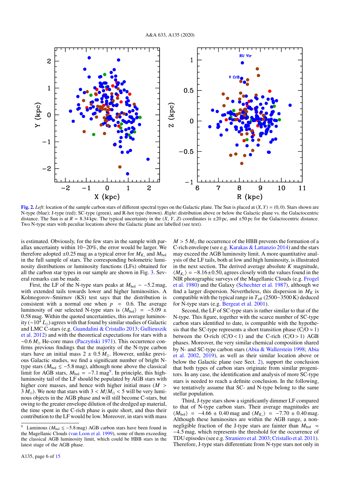

[Fig. 2.](https://dexter.edpsciences.org/applet.php?DOI=10.1051/0004-6361/201936831&pdf_id=2) *Left*: location of the sample carbon stars of different spectral types on the Galactic plane. The Sun is placed at (*X*, *<sup>Y</sup>*) <sup>=</sup> (0, 0). Stars shown are N-type (blue); J-type (red); SC-type (green), and R-hot type (brown). *Right*: distribution above or below the Galactic plane vs. the Galactocentric distance. The Sun is at  $R = 8.34$  kpc. The typical uncertainty in the  $(X, Y, Z)$  coordinates is  $\pm 20$  pc, and  $\pm 50$  pc for the Galactocentric distance. Two N-type stars with peculiar locations above the Galactic plane are labelled (see text).

is estimated. Obviously, for the few stars in the sample with parallax uncertainty within 10−20%, the error would be larger. We therefore adopted  $\pm 0.25$  mag as a typical error for  $M_{K_s}$  and  $M_{bol}$ <br>in the full sample of stars. The corresponding bolometric lumiin the full sample of stars. The corresponding bolometric luminosity distributions or luminosity functions (LFs) obtained for all the carbon star types in our sample are shown in Fig. 3. Several remarks can be made.

First, the LF of the N-type stars peaks at *<sup>M</sup>*bol ∼ −5.2 mag, with extended tails towards lower and higher luminosities. A Kolmogorov–Smirnov (KS) test says that the distribution is consistent with a normal one when  $p = 0.6$ . The average luminosity of our selected N-type stars is  $\langle M_{bol} \rangle$  = −5.09 ± <sup>0</sup>.58 mag. Within the quoted uncertainties, this average luminosity (∼10<sup>4</sup> *L*) agrees with that found by similar studies of Galactic and LMC C-stars (e.g. Guandalini & Cristallo 2013; Gullieuszik et al. 2012) and with the theoretical expectations for stars with a ∼0.6 *M*<sub>∩</sub> He-core mass (Paczyński 1971). This occurrence confirms previous findings that the majority of the N-type carbon stars have an initial mass  $2 \pm 0.5 M_{\odot}$ . However, unlike previous Galactic studies, we find a significant number of bright Ntype stars ( $M_{bol} \le -5.8$  mag), although none above the classical limit for AGB stars,  $M_{bol} = -7.1$  mag<sup>9</sup>. In principle, this high-<br>luminosity tail of the LE should be populated by AGB stars with luminosity tail of the LF should be populated by AGB stars with higher core masses, and hence with higher initial mass (*<sup>M</sup>* >  $3 M_{\odot}$ ). We note that stars with  $3 < M/M_{\odot} < 5$  will be very luminous objects in the AGB phase and will still become C-stars, but owing to the greater envelope dilution of the dredged up material, the time spent in the C-rich phase is quite short, and thus their contribution to the LF would be low. Moreover, in stars with mass

 $M > 5 M_{\odot}$  the occurrence of the HBB prevents the formation of a C-rich envelope (see e.g. Karakas & Lattanzio 2014) and the stars may exceed the AGB luminosity limit. A more quantitative analysis of the LF tails, both at low and high luminosity, is illustrated in the next section. The derived average absolute *K* magnitude,  $\langle M_{K_s} \rangle$  = −8.16±0.50, agrees closely with the values found in the NIR photographic surveys of the Magellanic Clouds (e.g. Frogel NIR photographic surveys of the Magellanic Clouds (e.g. Frogel et al. 1980) and the Galaxy (Schechter et al. 1987), although we find a larger dispersion. Nevertheless, this dispersion in  $M_K$  is compatible with the typical range in *T*eff (2500−3500 K) deduced for N-type stars (e.g. Bergeat et al. 2001).

Second, the LF of SC-type stars is rather similar to that of the N-type. This figure, together with the scarce number of SC-type carbon stars identified to date, is compatible with the hypothesis that the SC-type represents a short transition phase ( $C/O \approx 1$ ) between the O-rich  $(C/O < 1)$  and the C-rich  $(C/O > 1)$  AGB phases. Moreover, the very similar chemical composition shared by N- and SC-type carbon stars (Abia & Wallerstein 1998; Abia et al. 2002, 2019), as well as their similar location above or below the Galactic plane (see Sect. 2), support the conclusion that both types of carbon stars originate from similar progenitors. In any case, the identification and analysis of more SC-type stars is needed to reach a definite conclusion. In the following, we tentatively assume that SC- and N-type belong to the same stellar population.

Third, J-type stars show a significantly dimmer LF compared to that of N-type carbon stars. Their average magnitudes are  $\langle M_{\text{bol}} \rangle$  = −4.66 ± 0.40 mag and  $\langle M_{K_s} \rangle$  = −7.70 ± 0.40 mag.<br>Although these luminosites are within the AGB range a non-Although these luminosites are within the AGB range, a nonnegligible fraction of the J-type stars are fainter than  $M_{bol}$  = <sup>−</sup>4.5 mag, which represents the threshold for the occurrence of TDU episodes (see e.g. Straniero et al. 2003;Cristallo et al. 2011). Therefore, J-type stars differentiate from N-type stars not only in

Luminous ( $M_{bol}$  ≤ −5.8 mag) AGB carbon stars have been found in the Magellanic Clouds (van Loon et al. 1999), some of them exceeding the classical AGB luminosity limit, which could be HBB stars in the latest stage of the AGB phase.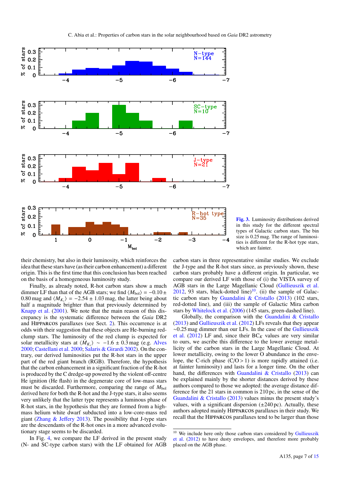

[Fig. 3.](https://dexter.edpsciences.org/applet.php?DOI=10.1051/0004-6361/201936831&pdf_id=3) Luminosity distributions derived in this study for the different spectral types of Galactic carbon stars. The bin size is 0.25 mag. The range of luminosities is different for the R-hot type stars, which are fainter.

their chemistry, but also in their luminosity, which reinforces the idea that these stars have (as their carbon enhancement) a different origin. This is the first time that this conclusion has been reached on the basis of a homogeneous luminosity study.

Finally, as already noted, R-hot carbon stars show a much dimmer LF than that of the AGB stars; we find  $\langle M_{bol} \rangle = -0.10 \pm$ 0.80 mag and  $\langle M_{K_s} \rangle = -2.54 \pm 1.03$  mag, the latter being about half a magnitude brighter than that previously determined by half a magnitude brighter than that previously determined by Knapp et al. (2001). We note that the main reason of this discrepancy is the systematic difference between the *Gaia* DR2 and Hipparcos parallaxes (see Sect. 2). This occurrence is at odds with their suggestion that these objects are He-burning redclump stars. The luminosity of the red clump is expected for solar metallicity stars at  $\langle M_{K_s} \rangle \sim -1.6 \pm 0.3$  mag (e.g. Alves 2000; Castellani et al. 2000; Salaris & Girardi 2002). On the con-2000; Castellani et al. 2000; Salaris & Girardi 2002). On the contrary, our derived luminosities put the R-hot stars in the upper part of the red giant branch (RGB). Therefore, the hypothesis that the carbon enhancement in a significant fraction of the R-hot is produced by the C dredge-up powered by the violent off-centre He ignition (He flash) in the degenerate core of low-mass stars must be discarded. Furthermore, comparing the range of  $M_{bol}$ derived here for both the R-hot and the J-type stars, it also seems very unlikely that the latter type represents a luminous phase of R-hot stars, in the hypothesis that they are formed from a highmass helium white dwarf subducted into a low-core-mass red giant (Zhang & Jeffery 2013). The possibility that J-type stars are the descendants of the R-hot ones in a more advanced evolutionary stage seems to be discarded.

In Fig. 4, we compare the LF derived in the present study (N- and SC-type carbon stars) with the LF obtained for AGB carbon stars in three representative similar studies. We exclude the J-type and the R-hot stars since, as previously shown, these carbon stars probably have a different origin. In particular, we compare our derived LF with those of (i) the VISTA survey of AGB stars in the Large Magellanic Cloud (Gullieuszik et al.  $2012$ , 93 stars, black-dotted line)<sup>10</sup>. (ii) the sample of Galactic carbon stars by Guandalini & Cristallo (2013) (102 stars, red-dotted line), and (iii) the sample of Galactic Mira carbon stars by Whitelock et al. (2006) (145 stars, green-dashed line).

Globally, the comparison with the Guandalini  $\&$  Cristallo (2013) and Gullieuszik et al. (2012) LFs reveals that they appear ∼0.25 mag dimmer than our LFs. In the case of the Gullieuszik et al. (2012) LF and, since their  $BC_K$  values are very similar to ours, we ascribe this difference to the lower average metallicity of the carbon stars in the Large Magellanic Cloud. At lower metallicity, owing to the lower O abundance in the envelope, the C-rich phase  $(C/O > 1)$  is more rapidly attained (i.e. at fainter luminosity) and lasts for a longer time. On the other hand, the differences with Guandalini & Cristallo (2013) can be explained mainly by the shorter distances derived by these authors compared to those we adopted: the average distance difference for the 21 stars in common is 210 pc, in the sense of the Guandalini & Cristallo (2013) values minus the present study's values, with a significant dispersion  $(\pm 240 \,\text{pc})$ . Actually, these authors adopted mainly Hipparcos parallaxes in their study. We recall that the Hipparcos parallaxes tend to be larger than those

<sup>&</sup>lt;sup>10</sup> We include here only those carbon stars considered by Gullieuszik et al. (2012) to have dusty envelopes, and therefore more probably placed on the AGB phase.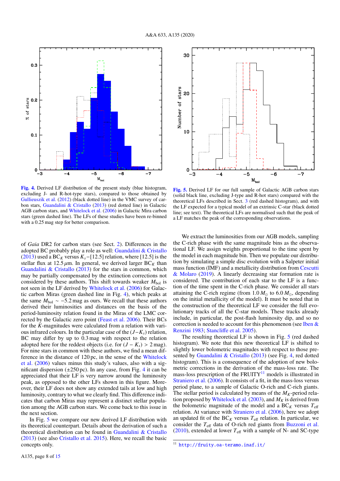

[Fig. 4.](https://dexter.edpsciences.org/applet.php?DOI=10.1051/0004-6361/201936831&pdf_id=4) Derived LF distribution of the present study (blue histogram, excluding J- and R-hot-type stars), compared to those obtained by Gullieuszik et al. (2012) (black dotted line) in the VMC survey of carbon stars, Guandalini & Cristallo (2013) (red dotted line) in Galactic AGB carbon stars, and Whitelock et al. (2006) in Galactic Mira carbon stars (green dashed line). The LFs of these studies have been re-binned with a 0.25 mag step for better comparison.

of *Gaia* DR2 for carbon stars (see Sect. 2). Differences in the adopted BC probably play a role as well: Guandalini & Cristallo (2013) used a BC*<sup>K</sup>* versus *<sup>K</sup>s*−[12.5] relation, where [12.5] is the stellar flux at  $12.5 \mu m$ . In general, we derived larger BC<sub>K</sub> than Guandalini & Cristallo (2013) for the stars in common, which may be partially compensated by the extinction corrections not considered by these authors. This shift towards weaker  $M_{bol}$  is not seen in the LF derived by Whitelock et al. (2006) for Galactic carbon Miras (green dashed line in Fig. 4), which peaks at the same  $M_{bol} \sim -5.2$  mag as ours. We recall that these authors derived their luminosities and distances on the basis of the period-luminosity relation found in the Miras of the LMC corrected by the Galactic zero point (Feast et al. 2006). Their BCs for the *K*-magnitudes were calculated from a relation with various infrared colours. In the particular case of the (*J*−*Ks*) relation, BC may differ by up to 0.3 mag with respect to the relation adopted here for the reddest objects (i.e. for  $(J - K_s) > 2$  mag). For nine stars in common with these authors, we find a mean difference in the distance of 120 pc, in the sense of the Whitelock et al. (2006) values minus this study's values, also with a significant dispersion  $(\pm 250 \,\text{pc})$ . In any case, from Fig. 4 it can be appreciated that their LF is very narrow around the luminosity peak, as opposed to the other LFs shown in this figure. Moreover, their LF does not show any extended tails at low and high luminosity, contrary to what we clearly find. This difference indicates that carbon Miras may represent a distinct stellar population among the AGB carbon stars. We come back to this issue in the next section.

In Fig. 5 we compare our new derived LF distribution with its theoretical counterpart. Details about the derivation of such a theoretical distribution can be found in Guandalini & Cristallo (2013) (see also Cristallo et al. 2015). Here, we recall the basic concepts only.



[Fig. 5.](https://dexter.edpsciences.org/applet.php?DOI=10.1051/0004-6361/201936831&pdf_id=5) Derived LF for our full sample of Galactic AGB carbon stars (solid black line, excluding J-type and R-hot stars) compared with the theoretical LFs described in Sect. 3 (red dashed histogram), and with the LF expected for a typical model of an extrinsic C-star (black dotted line; see text). The theoretical LFs are normalised such that the peak of a LF matches the peak of the corresponding observations.

We extract the luminosities from our AGB models, sampling the C-rich phase with the same magnitude bins as the observational LF. We assign weights proportional to the time spent by the model in each magnitude bin. Then we populate our distribution by simulating a simple disc evolution with a Salpeter initial mass function (IMF) and a metallicity distribution from Cescutti & Molaro (2019). A linearly decreasing star formation rate is considered. The contribution of each star to the LF is a function of the time spent in the C-rich phase. We consider all stars attaining the C-rich regime (from  $1.0 M_{\odot}$  to  $6.0 M_{\odot}$ , depending on the initial metallicity of the model). It must be noted that in the construction of the theoretical LF we consider the full evolutionary tracks of all the C-star models. These tracks already include, in particular, the post-flash luminosity dip, and so no correction is needed to account for this phenomenon (see Iben & Renzini 1983; Stancliffe et al. 2005).

The resulting theoretical LF is shown in Fig. 5 (red dashed histogram). We note that this new theoretical LF is shifted to slightly lower bolometric magnitudes with respect to those presented by Guandalini & Cristallo (2013) (see Fig. 4, red dotted histogram). This is a consequence of the adoption of new bolometric corrections in the derivation of the mass-loss rate. The mass-loss prescription of the FRUITY $^{11}$  models is illustrated in Straniero et al. (2006). It consists of a fit, in the mass-loss versus period plane, to a sample of Galactic O-rich and C-rich giants. The stellar period is calculated by means of the  $M_K$ -period relation proposed by Whitelock et al. (2003), and  $M_K$  is derived from the bolometric magnitude of the model and a  $BC_K$  versus  $T_{\text{eff}}$ relation. At variance with Straniero et al. (2006), here we adopt an updated fit of the  $BC_K$  versus  $T_{\text{eff}}$  relation. In particular, we consider the  $T_{\text{eff}}$  data of O-rich red giants from Buzzoni et al. (2010), extended at lower  $T_{\text{eff}}$  with a sample of N- and SC-type

<sup>11</sup> <http://fruity.oa-teramo.inaf.it/>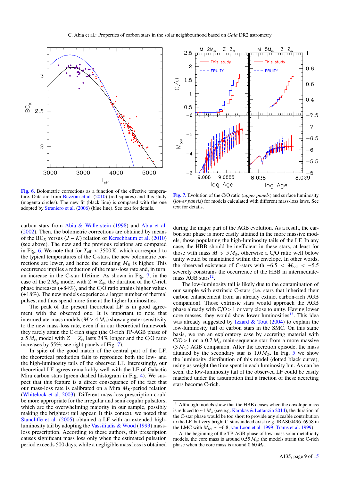

[Fig. 6.](https://dexter.edpsciences.org/applet.php?DOI=10.1051/0004-6361/201936831&pdf_id=6) Bolometric corrections as a function of the effective temperature. Data are from Buzzoni et al. (2010) (red squares) and this study (magenta circles). The new fit (black line) is compared with the one adopted by Straniero et al. (2006) (blue line). See text for details.

carbon stars from Abia & Wallerstein (1998) and Abia et al. (2002). Then, the bolometric corrections are obtained by means of the BC<sub>K</sub> versus  $(J - K)$  relation of Kerschbaum et al. (2010) (see above). The new and the previous relations are compared in Fig. 6. We note that for  $T_{\text{eff}} < 3500 \text{ K}$ , which correspond to the typical temperatures of the C-stars, the new bolometric corrections are lower, and hence the resulting  $M_K$  is higher. This occurrence implies a reduction of the mass-loss rate and, in turn, an increase in the C-star lifetime. As shown in Fig. 7, in the case of the  $2 M_{\odot}$  model with  $Z = Z_{\odot}$ , the duration of the C-rich phase increases  $(+84\%)$ , and the C/O ratio attains higher values (+18%). The new models experience a larger number of thermal pulses, and thus spend more time at the higher luminosities.

The peak of the present theoretical LF is in good agreement with the observed one. It is important to note that intermediate-mass models ( $M > 4 M_{\odot}$ ) show a greater sensitivity to the new mass-loss rate, even if in our theoretical framework they rarely attain the C-rich stage (the O-rich TP-AGB phase of a 5  $M_{\odot}$  model with  $Z = Z_{\odot}$  lasts 34% longer and the C/O ratio increases by 55%; see right panels of Fig. 7).

In spite of the good match of the central part of the LF, the theoretical prediction fails to reproduce both the low- and the high-luminosity tails of the observed LF. Interestingly, our theoretical LF agrees remarkably well with the LF of Galactic Mira carbon stars (green dashed histogram in Fig. 4). We suspect that this feature is a direct consequence of the fact that our mass-loss rate is calibrated on a Mira  $M_K$ -period relation (Whitelock et al. 2003). Different mass-loss prescription could be more appropriate for the irregular and semi-regular pulsators, which are the overwhelming majority in our sample, possibly making the brightest tail appear. It this context, we noted that Stancliffe et al. (2005) obtained a LF with an extended highluminosity tail by adopting the Vassiliadis & Wood (1993) massloss prescription. According to these authors, this prescription causes significant mass loss only when the estimated pulsation period exceeds 500 days, while a negligible mass loss is obtained



[Fig. 7.](https://dexter.edpsciences.org/applet.php?DOI=10.1051/0004-6361/201936831&pdf_id=7) Evolution of the C/O ratio (*upper panels*) and surface luminosity (*lower panels*) for models calculated with different mass-loss laws. See text for details.

during the major part of the AGB evolution. As a result, the carbon star phase is more easily attained in the more massive models, those populating the high-luminosity tails of the LF. In any case, the HBB should be inefficient in these stars, at least for those with mass  $M \leq 5 M_{\odot}$ , otherwise a C/O ratio well below unity would be maintained within the envelope. In other words, the observed existence of C-stars with  $-6.5 < M_{bol} < -5.5$ severely constrains the occurrence of the HBB in intermediatemass AGB stars<sup>12</sup>.

The low-luminosity tail is likely due to the contamination of our sample with extrinsic C-stars (i.e. stars that inherited their carbon enhancement from an already extinct carbon-rich AGB companion). Those extrinsic stars would approach the AGB phase already with  $C/O > 1$  or very close to unity. Having lower core masses, they would show lower luminosities<sup>13</sup>. This idea was already suggested by Izzard  $&$  Tout (2004) to explain the low-luminosity tail of carbon stars in the SMC. On this same basis, we ran an exploratory case by accreting material with  $C/O > 1$  on a 0.7  $M_{\odot}$  main-sequence star from a more massive  $(3 M_{\odot})$  AGB companion. After the accretion episode, the mass attained by the secondary star is  $1.0 M_{\odot}$ . In Fig. 5 we show the luminosity distribution of this model (dotted black curve), using as weight the time spent in each luminosity bin. As can be seen, the low-luminosity tail of the observed LF could be easily matched under the assumption that a fraction of these accreting stars become C-rich.

<sup>&</sup>lt;sup>12</sup> Although models show that the HBB ceases when the envelope mass is reduced to ∼1 *M* (see e.g. Karakas & Lattanzio 2014), the duration of the C-star phase would be too short to provide any sizeable contribution to the LF, but very bright C-stars indeed exist (e.g. IRAS04496–6958 in the LMC with *M*<sub>bol</sub> ∼ −6.8; van Loon et al. 1999; Trams et al. 1999).

At the beginning of the TP-AGB phase of low-mass solar metallicity models, the core mass is around  $0.55 M_{\odot}$ ; the models attain the C-rich phase when the core mass is around  $0.60 M_{\odot}$ .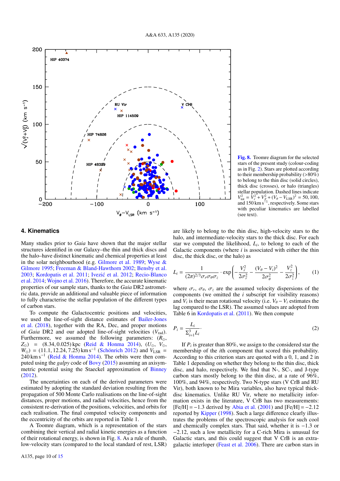

[Fig. 8.](https://dexter.edpsciences.org/applet.php?DOI=10.1051/0004-6361/201936831&pdf_id=8) Toomre diagram for the selected stars of the present study (colour-coding as in Fig. 2). Stars are plotted according to their membership probability (>80%) to belong to the thin disc (solid circles), thick disc (crosses), or halo (triangles) stellar population. Dashed lines indicate  $V_{\text{tot}}^2 = V_r^2 + V_Z^2 + (V_\theta - V_{\text{LSR}})^2 = 50, 100,$ <br>and 150 km s<sup>-1</sup>, respectively. Some stars with peculiar kinematics are labelled (see text).

#### **4. Kinematics**

Many studies prior to *Gaia* have shown that the major stellar structures identified in our Galaxy–the thin and thick discs and the halo–have distinct kinematic and chemical properties at least in the solar neighbourhood (e.g. Gilmore et al. 1989; Wyse & Gilmore 1995; Freeman & Bland-Hawthorn 2002; Bensby et al. 2003; Kordopatis et al. 2011; Ivezić et al. 2012; Recio-Blanco et al. 2014; Wojno et al. 2016). Therefore, the accurate kinematic properties of our sample stars, thanks to the *Gaia* DR2 astrometric data, provide an additional and valuable piece of information to fully characterise the stellar population of the different types of carbon stars.

To compute the Galactocentric positions and velocities, we used the line-of-sight distance estimates of Bailer-Jones et al. (2018), together with the RA, Dec, and proper motions of *Gaia* DR2 and our adopted line-of-sight velocities (*V*rad). Furthermore, we assumed the following parameters:  $(R_{\odot},$  $Z_{\odot}$ ) = (8.34, 0.025) kpc (Reid & Honma 2014), ( $U_{\odot}$ ,  $V_{\odot}$ ,  $W_{\odot}$ ) = (11.1, 12.24, 7.25) km s<sup>-1</sup> (Schönrich 2012) and  $V_{\rm LSR}$  = 240 km s<sup>-1</sup> (Reid & Honma 2014). The orbits were then com-240 km s<sup>-1</sup> (Reid & Honma 2014). The orbits were then computed using the *galpy* code of Bovy (2015) assuming an axisymmetric potential using the Staeckel approximation of Binney (2012).

The uncertainties on each of the derived parameters were estimated by adopting the standard deviation resulting from the propagation of 500 Monte Carlo realisations on the line-of-sight distances, proper motions, and radial velocities, hence from the consistent re-derivation of the positions, velocities, and orbits for each realisation. The final computed velocity components and the eccentricity of the orbits are reported in Table 1.

A Toomre diagram, which is a representation of the stars combining their vertical and radial kinetic energies as a function of their rotational energy, is shown in Fig. 8. As a rule of thumb, low-velocity stars (compared to the local standard of rest, LSR)

are likely to belong to the thin disc, high-velocity stars to the halo, and intermediate-velocity stars to the thick disc. For each star we computed the likelihood,  $L_i$ , to belong to each of the Galactic components (where *i* is associated with either the thin disc, the thick disc, or the halo) as

$$
L_i = \frac{1}{(2\pi)^{2/3} \sigma_r \sigma_\theta \sigma_z} \cdot \exp\left(-\frac{V_r^2}{2\sigma_r^2} - \frac{(V_\theta - V_i)^2}{2\sigma_\theta^2} - \frac{V_z^2}{2\sigma_z^2}\right),\tag{1}
$$

where  $\sigma_r$ ,  $\sigma_\theta$ ,  $\sigma_z$  are the assumed velocity dispersions of the components (we omitted the *i* subscript for visibility reasons) components (we omitted the *i* subscript for visibility reasons) and  $V_i$  is their mean rotational velocity (i.e.  $V_{\theta} - V_i$  estimates the lag compared to the LSP). The assumed values are adopted from lag compared to the LSR). The assumed values are adopted from Table 6 in Kordopatis et al. (2011). We then compute

$$
P_i = \frac{L_i}{\sum_{i=1}^3 L_i}.\tag{2}
$$

If  $P_i$  is greater than 80%, we assign to the considered star the membership of the *i*th component that scored this probability. According to this criterion stars are quoted with a 0, 1, and 2 in Table 1 depending on whether they belong to the thin disc, thick disc, and halo, respectively. We find that N-, SC-, and J-type carbon stars mostly belong to the thin disc, at a rate of 96%, 100%, and 94%, respectively. Two N-type stars (V CrB and RU Vir), both known to be Mira variables, also have typical thickdisc kinematics. Unlike RU Vir, where no metallicity information exists in the literature, V CrB has two measurements:  $[Fe/H] = -1.3$  derived by Abia et al. (2001) and  $[Fe/H] = -2.12$ reported by Kipper (1998). Such a large difference clearly illustrates the problems of the spectroscopic analysis for such cool and chemically complex stars. That said, whether it is <sup>−</sup>1.3 or <sup>−</sup>2.12, such a low metallicity for a C-rich Mira is unusual for Galactic stars, and this could suggest that V CrB is an extragalactic interloper (Feast et al. 2006). There are carbon stars in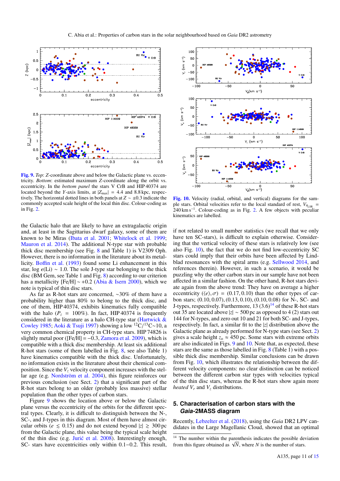

[Fig. 9.](https://dexter.edpsciences.org/applet.php?DOI=10.1051/0004-6361/201936831&pdf_id=9) *Top*: *Z*-coordinate above and below the Galactic plane vs. eccentricity. *Bottom*: estimated maximum *Z*-coordinate along the orbit vs. eccentricity. In the *bottom panel* the stars V CrB and HIP 40374 are located beyond the *Y*-axis limits, at  $|Z_{\text{max}}| = 4.4$  and 8.8 kpc, respectively. The horizontal dotted lines in both panels at *<sup>Z</sup>* ∼ ±0.3 indicate the commonly accepted scale height of the local thin disc. Colour-coding as in Fig. 2.

the Galactic halo that are likely to have an extragalactic origin and, at least in the Sagittarius dwarf galaxy, some of them are known to be Miras (Ibata et al. 2001; Whitelock et al. 1999; Mauron et al. 2014). The additional N-type star with probable thick disc membership (see Fig. 8 and Table 1) is V2309 Oph. However, there is no information in the literature about its metallicity. Boffin et al. (1993) found some Li enhancement in this star, log  $\epsilon$ (Li) ~ 1.0. The sole J-type star belonging to the thick disc (BM Gem, see Table 1 and Fig. 8) according to our criterion has a metallicity [Fe/H] <sup>∼</sup> <sup>+</sup>0.2 (Abia & Isern 2000), which we note is typical of thin disc stars.

As far as R-hot stars are concerned, ∼30% of them have a probability higher than 80% to belong to the thick disc, and one of them, HIP 40374, exhibits kinematics fully compatible with the halo ( $P_i = 100\%$ ). In fact, HIP 40374 is frequently considered in the literature as a halo CH-type star (Hartwick & Cowley 1985; Aoki & Tsuji 1997) showing a low <sup>12</sup>C/<sup>13</sup>C∼10, a very common chemical property in CH-type stars. HIP 74826 is very common chemical property in CH-type stars. HIP 74826 is slightly metal poor ( $[Fe/H] = -0.3$ , Zamora et al. 2009), which is compatible with a thick disc membership. At least six additional R-hot stars (some of them labelled in Fig. 8, see also Table 1) have kinematics compatible with the thick disc. Unfortunately, no information exists in the literature about their chemical composition. Since the  $V_z$  velocity component increases with the stellar age (e.g. Nordström et al. 2004), this figure reinforces our previous conclusion (see Sect. 2) that a significant part of the R-hot stars belong to an older (probably less massive) stellar population than the other types of carbon stars.

Figure 9 shows the location above or below the Galactic plane versus the eccentricity of the orbits for the different spectral types. Clearly, it is difficult to distinguish between the N-, SC-, and J-types in this diagram. Most of them have almost circular orbits ( $e \le 0.15$ ) and do not extend beyond  $|z| \ge 300$  pc from the Galactic plane, this value being the typical scale height of the thin disc (e.g. Jurić et al.  $2008$ ). Interestingly enough, SC- stars have eccentricities only within 0.1−0.2. This result,



[Fig. 10.](https://dexter.edpsciences.org/applet.php?DOI=10.1051/0004-6361/201936831&pdf_id=10) Velocity (radial, orbital, and vertical) diagrams for the sample stars. Orbital velocities refer to the local standard of rest,  $V_{\theta_{\text{R}}|_{\text{S}}}=$ 240 km s<sup>-1</sup>. Colour-coding as in Fig. 2. A few objects with peculiar kinematics are labelled.

if not related to small number statistics (we recall that we only have ten SC-stars), is difficult to explain otherwise. Considering that the vertical velocity of these stars is relatively low (see also Fig. 10), the fact that we do not find low-eccentricity SC stars could imply that their orbits have been affected by Lindblad resonances with the spiral arms (e.g. Sellwood 2014, and references therein). However, in such a scenario, it would be puzzling why the other carbon stars in our sample have not been affected in a similar fashion. On the other hand, R-hot stars deviate again from the above trend: They have on average a higher eccentricity ( $\langle e \rangle$ ,  $\sigma$ ) = (0.17, 0.10) than the other types of carbon stars; (0.10, <sup>0</sup>.07), (0.13, <sup>0</sup>.10), (0.10, <sup>0</sup>.08) for N-, SC- and J-types, respectively. Furthermore,  $13 (3.6)^{14}$  of these R-hot stars out 35 are located above |*z*| ∼ 500 pc as opposed to 4 (2) stars out 144 for N-types, and zero out 10 and 21 for both SC- and J-types, respectively. In fact, a similar fit to the |*z*| distribution above the Galactic plane as already performed for N-type stars (see Sect. 2) gives a scale height  $z_0 \approx 450$  pc. Some stars with extreme orbits are also indicated in Figs. 9 and 10. Note that, as expected, these stars are the same as those labelled in Fig. 8 (Table 1) with a possible thick disc membership. Similar conclusions can be drawn from Fig. 10, which illustrates the relationship between the different velocity components: no clear distinction can be noticed between the different carbon star types with velocities typical of the thin disc stars, whereas the R-hot stars show again more *heated V<sup>r</sup>* and *V<sup>z</sup>* distributions.

# **5. Characterisation of carbon stars with the Gaia-2MASS diagram**

Recently, Lebzelter et al. (2018), using the *Gaia* DR2 LPV candidates in the Large Magellanic Cloud, showed that an optimal

<sup>&</sup>lt;sup>14</sup> The number within the parenthesis indicates the possible deviation The number within the parenthesis indicates the possible deform this figure obtained as  $\sqrt{N}$ , where *N* is the number of stars.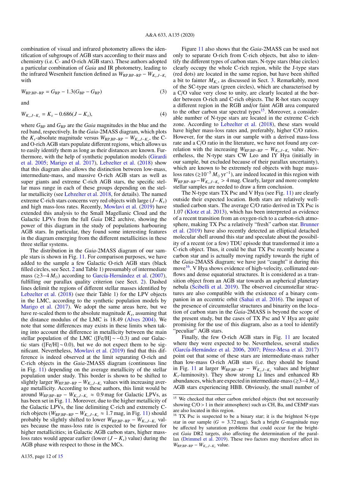combination of visual and infrared photometry allows the identification of subgroups of AGB stars according to their mass and chemistry (i.e. C- and O-rich AGB stars). These authors adopted a particular combination of *Gaia* and IR photometry, leading to the infrared Wesenheit function defined as  $W_{\text{RP,BP-RP}} - W_{K_s,J-K_s}$ <br>with with

$$
W_{\rm RP,BP-RP} = G_{\rm RP} - 1.3(G_{\rm BP} - G_{\rm RP})
$$
\n(3)

and

$$
W_{K_s,J-K_s} = K_s - 0.686(J - K_s),
$$
\n(4)

where  $G_{BP}$  and  $G_{RP}$  are the *Gaia* magnitudes in the blue and the red band, respectively. In the *Gaia*-2MASS diagram, which plots the  $K_s$ -absolute magnitude versus  $W_{RP, BP-RP} - W_{K_s, J-K_s}$ , the C-<br>and O rich AGB stars populate different regions, which allows us and O-rich AGB stars populate different regions, which allows us to easily identify them as long as their distances are known. Furthermore, with the help of synthetic population models (Girardi et al. 2005; Marigo et al. 2017), Lebzelter et al. (2018) show that this diagram also allows the distinction between low-mass, intermediate-mass, and massive O-rich AGB stars as well as super giants and extreme C-rich AGB stars, the specific stellar mass range in each of these groups depending on the stellar metallicity (see Lebzelter et al. 2018, for details). The named extreme C-rich stars concerns very red objects with large (*J*−*Ks*) and high mass-loss rates. Recently, Mowlavi et al. (2019) have extended this analysis to the Small Magellanic Cloud and the Galactic LPVs from the full *Gaia* DR2 archive, showing the power of this diagram in the study of populations harbouring AGB stars. In particular, they found some interesting features in the diagram emerging from the different metallicities in these three stellar systems.

The distribution in the *Gaia*-2MASS diagram of our sample stars is shown in Fig. 11. For comparison purposes, we have added to the sample a few Galactic O-rich AGB stars (black filled circles, see Sect. 2 and Table 1) presumably of intermediate mass ( $\geq 3-4 M_{\odot}$ ) according to García-Hernández et al. (2007), fulfilling our parallax quality criterion (see Sect. 2). Dashed lines delimit the regions of different stellar masses identified by Lebzelter et al. (2018) (see their Table 1) for the LPV objects in the LMC, according to the synthetic population models by Marigo et al. (2017). We adopt the same areas here, but we have re-scaled them to the absolute magnitude *K<sup>s</sup>* , assuming that the distance modulus of the LMC is 18.49 (Alves 2004). We note that some differences may exists in these limits when taking into account the difference in metallicity between the main stellar population of the LMC ( $[Fe/H] \sim -0.3$ ) and our Galactic stars ( $[Fe/H] \sim 0.0$ ), but we do not expect them to be significant. Nevertheless, Mowlavi et al. (2019) find that this difference is indeed observed at the limit separating O-rich and C-rich objects in the *Gaia*-2MASS diagram (continuous line in Fig. 11) depending on the average metallicity of the stellar population under study. This border is shown to be shifted to slightly larger  $W_{\text{RP,BP-RP}} - W_{K_s,J-K_s}$  values with increasing aver-<br>age metallicity. According to these authors, this limit would be age metallicity. According to these authors, this limit would be around  $W_{RP,BP-RP} - W_{K_s,J-K_s} \approx 0.9$  mag for Galactic LPVs, as<br>has been set in Fig. 11. Moreover, due to the higher metallicity of has been set in Fig. 11. Moreover, due to the higher metallicity of the Galactic LPVs, the line delimiting C-rich and extremely Crich objects ( $W_{RP,BP-RP} - W_{K_s,J-K_s} \approx 1.7$  mag, in Fig. 11) should<br>probably be slightly shifted to lower  $W_{PP,P,P} - W_{K,J,K}$  valprobably be slightly shifted to lower  $W_{RP, BP-RP} - W_{K_s, J-K_s}$  val-<br>was because the mass loss rate is expected to be favoured for ues because the mass-loss rate is expected to be favoured for higher metallicities; in Galactic AGB carbon stars, higher massloss rates would appear earlier (lower  $(J - K_s)$  value) during the AGB phase with respect to those in the MCs.

A135, page 12 of 15

Figure 11 also shows that the *Gaia*-2MASS can be used not only to separate O-rich from C-rich objects, but also to identify the different types of carbon stars. N-type stars (blue circles) clearly occupy the whole C-rich region, while the J-type stars (red dots) are located in the same region, but have been shifted a bit to fainter  $M_{K_s}$ , as discussed in Sect. 3. Remarkably, most of the SC-type stars (green circles), which are characterised by a C/O value very close to unity, are clearly located at the border between O-rich and C-rich objects. The R-hot stars occupy a different region in the RGB and/or faint AGB area compared to the other carbon star spectral types<sup>15</sup>. Moreover, a considerable number of N-type stars are located in the extreme C-rich zone. According to Lebzelter et al. (2018), these stars would have higher mass-loss rates and, preferably, higher C/O ratios. However, for the stars in our sample with a derived mass-loss rate and a C/O ratio in the literature, we have not found any correlation with the increasing  $W_{\text{RP,BP-RP}} - W_{K_s,J-K_s}$  value. Nev-<br>ertheless the N type stars CW Leo and IV Hyg (initially in ertheless, the N-type stars CW Leo and IY Hya (initially in our sample, but excluded because of their parallax uncertainty), which are known to be extremely red objects with huge massloss rates ( $\ge 10^{-5}$  *M*<sub>o</sub> yr<sup>-1</sup>), are indeed located in this region with  $W_{\text{RP,BP-RP}} - W_{K_s,J-K_s} > 4$  mag. Clearly, larger and more complete stellar samples are needed to draw a firm conclusion stellar samples are needed to draw a firm conclusion.

The N-type stars TX Psc and V Hya (see Fig. 11) are clearly outside their expected location. Both stars are relatively wellstudied carbon stars. The average C/O ratio derived in TX Psc is 1.07 (Klotz et al. 2013), which has been interpreted as evidence of a recent transition from an oxygen-rich to a carbon-rich atmosphere, making TX Psc a relatively "fresh" carbon star. Brunner et al. (2019) have also recently detected an elliptical detached molecular shell around this star and speculate about the possibility of a recent (or a few) TDU episode that transformed it into a C-rich object. Thus, it could be that TX Psc recently became a carbon star and is actually moving rapidly towards the right of the *Gaia*-2MASS diagram; we have just "caught" it during this move<sup>16</sup>. V Hya shows evidence of high-velocity, collimated outflows and dense equatorial structures. It is considered as a transition object from an AGB star towards an aspherical planetary nebula (Scibelli et al. 2019). The observed circumstellar structures are also compatible with the existence of a binary companion in an eccentric orbit (Sahai et al. 2016). The impact of the presence of circumstellar structures and binarity on the location of carbon stars in the *Gaia*-2MASS is beyond the scope of the present study, but the cases of TX Psc and V Hya are quite promising for the use of this diagram, also as a tool to identify "peculiar" AGB stars.

Finally, the few O-rich AGB stars in Fig. 11 are located where they were expected to be. Nevertheless, several studies (García-Hernández et al. 2006, 2007; Pérez-Mesa et al. 2017) point out that some of these stars are intermediate-mass rather than low-mass O-rich AGB stars (i.e. they should be found in Fig. 11 at larger  $W_{\text{RP,BP-RP}} - W_{K_s,J-K_s}$  values and brighter  $K$  luminosity). They show strong I i lines and enhanced Ph  $K_s$ -luminosity). They show strong Li lines and enhanced Rb abundances, which are expected in intermediate-mass ( $\geq 3-4$  *M*<sub>☉</sub>) AGB stars experiencing HBB. Obviously, the small number of

<sup>&</sup>lt;sup>15</sup> We checked that other carbon enriched objects (but not necessarily showing  $C/O > 1$  in their atmosphere) such as CH, Ba, and CEMP stars are also located in this region.

<sup>&</sup>lt;sup>16</sup> TX Psc is suspected to be a binary star; it is the brightest N-type star in our sample  $(G = 3.72 \text{ mag})$ . Such a bright *G*-magnitude may be affected by saturation problems that could occur for the brightest *Gaia* DR2 targets, also affecting the determination of the parallax (Drimmel et al. 2019). These two factors may therefore affect its  $W_{\text{RP,BP-RP}} - W_{K_s,J-K_s}$  value.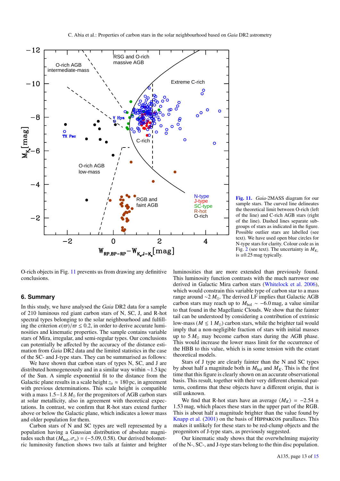

O-rich objects in Fig. 11 prevents us from drawing any definitive conclusions.

## **6. Summary**

In this study, we have analysed the *Gaia* DR2 data for a sample of 210 luminous red giant carbon stars of N, SC, J, and R-hot spectral types belonging to the solar neighbourhood and fulfilling the criterion  $\epsilon(\varpi)/\varpi \leq 0.2$ , in order to derive accurate luminosities and kinematic properties. The sample contains variable stars of Mira, irregular, and semi-regular types. Our conclusions can potentially be affected by the accuracy of the distance estimation from *Gaia* DR2 data and the limited statistics in the case of the SC- and J-type stars. They can be summarised as follows:

We have shown that carbon stars of types N, SC, and J are distributed homogeneously and in a similar way within <sup>∼</sup>1.5 kpc of the Sun. A simple exponential fit to the distance from the Galactic plane results in a scale height  $z_0 \approx 180$  pc, in agreement with previous determinations. This scale height is compatible with a mass  $1.5-1.8 M_{\odot}$  for the progenitors of AGB carbon stars at solar metallicity, also in agreement with theoretical expectations. In contrast, we confirm that R-hot stars extend further above or below the Galactic plane, which indicates a lower mass and older population for them.

Carbon stars of N and SC types are well represented by a population having a Gaussian distribution of absolute magnitudes such that  $(M_{bol}, \sigma_o) = (-5.09, 0.58)$ . Our derived bolometric luminosity function shows two tails at fainter and brighter

[Fig. 11.](https://dexter.edpsciences.org/applet.php?DOI=10.1051/0004-6361/201936831&pdf_id=11) *Gaia*-2MASS diagram for our sample stars. The curved line delineates the theoretical limit between O-rich (left of the line) and C-rich AGB stars (right of the line). Dashed lines separate subgroups of stars as indicated in the figure. Possible outlier stars are labelled (see text). We have used open blue circles for N-type stars for clarity. Colour code as in Fig. 2 (see text). The uncertainty in  $M_{K_s}$ is  $\pm 0.25$  mag typically.

luminosities that are more extended than previously found. This luminosity function contrasts with the much narrower one derived in Galactic Mira carbon stars (Whitelock et al. 2006), which would constrain this variable type of carbon star to a mass range around ∼2 *M*. The derived LF implies that Galactic AGB carbon stars may reach up to  $M_{bol} \sim -6.0$  mag, a value similar to that found in the Magellanic Clouds. We show that the fainter tail can be understood by considering a contribution of extrinsic low-mass ( $M \le 1$   $M_{\odot}$ ) carbon stars, while the brighter tail would imply that a non-negligible fraction of stars with initial masses up to  $5 M_{\odot}$  may become carbon stars during the AGB phase. This would increase the lower mass limit for the occurrence of the HBB to this value, which is in some tension with the extant theoretical models.

Stars of J type are clearly fainter than the N and SC types by about half a magnitude both in  $M_{bol}$  and  $M_K$ . This is the first time that this figure is clearly shown on an accurate observational basis. This result, together with their very different chemical patterns, confirms that these objects have a different origin, that is still unknown.

We find that R-hot stars have an average  $\langle M_K \rangle = -2.54 \pm 10^{-10}$ <sup>1</sup>.53 mag, which places these stars in the upper part of the RGB. This is about half a magnitude brighter than the value found by Knapp et al. (2001) on the basis of Hipparcos parallaxes. This makes it unlikely for these stars to be red-clump objects and the progenitors of J-type stars, as previously suggested.

Our kinematic study shows that the overwhelming majority of the N-, SC-, and J-type stars belong to the thin disc population.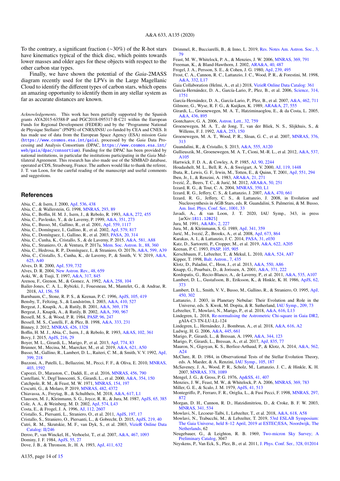To the contrary, a significant fraction (∼30%) of the R-hot stars have kinematics typical of the thick disc, which points towards lower masses and older ages for these objects with respect to the other carbon star types.

Finally, we have shown the potential of the *Gaia*-2MASS diagram recently used for the LPVs in the Large Magellanic Cloud to identify the different types of carbon stars, which opens an amazing opportunity to identify them in any stellar system as far as accurate distances are known.

*Acknowledgements.* This work has been partially supported by the Spanish grants AYA2015-63588-P and PGC2018-095317-B-C21 within the European Funds for Regional Development (FEDER) and by the "Programme National de Physique Stellaire" (PNPS) of CNRS/INSU co-funded by CEA and CNES. It has made use of data from the European Space Agency (ESA) mission *Gaia* (<https://www.cosmos.esa.int/gaia>), processed by the *Gaia* Data Processing and Analysis Consortium (DPAC, [https://www.cosmos.esa.int/](https://www.cosmos.esa.int/web/gaia/dpac/consortium) [web/gaia/dpac/consortium](https://www.cosmos.esa.int/web/gaia/dpac/consortium)). Funding for the DPAC has been provided by national institutions, in particular the institutions participating in the *Gaia* Multilateral Agreement. This research has also made use of the SIMBAD database, operated at CDS, Strasbourg, France. The authors would like to thank the referee, J. T. van Loon, for the careful reading of the manuscript and useful comments and suggestions.

#### **References**

- Abia, C., & Isern, J. 2000, [ApJ, 536, 438](http://linker.aanda.org/10.1051/0004-6361/201936831/1)
- Abia, C., & Wallerstein, G. 1998, [MNRAS, 293, 89](http://linker.aanda.org/10.1051/0004-6361/201936831/2)
- Abia, C., Boffin, H. M. J., Isern, J., & Rebolo, R. 1993, [A&A, 272, 455](http://linker.aanda.org/10.1051/0004-6361/201936831/3)
- Abia, C., Pavlenko, Y., & de Laverny, P. 1999, [A&A, 351, 273](http://linker.aanda.org/10.1051/0004-6361/201936831/4)
- Abia, C., Busso, M., Gallino, R., et al. 2001, [ApJ, 559, 1117](http://linker.aanda.org/10.1051/0004-6361/201936831/5)
- Abia, C., Domínguez, I., Gallino, R., et al. 2002, [ApJ, 579, 817](http://linker.aanda.org/10.1051/0004-6361/201936831/6)
- Abia, C., Domínguez, I., Gallino, R., et al. 2003, [PASA, 20, 314](http://linker.aanda.org/10.1051/0004-6361/201936831/7)
- Abia, C., Cunha, K., Cristallo, S., & de Laverny, P. 2015, [A&A, 581, A88](http://linker.aanda.org/10.1051/0004-6361/201936831/8)
- Abia, C., Straniero, O., & Ventura, P. 2017a, [Mem. Soc. Astron. It., 88, 360](http://linker.aanda.org/10.1051/0004-6361/201936831/9)
- Abia, C., Hedrosa, R. P., Domínguez, I., & Straniero, O. 2017b, [A&A, 599, A39](http://linker.aanda.org/10.1051/0004-6361/201936831/10) Abia, C., Cristallo, S., Cunha, K., de Laverny, P., & Smith, V. V. 2019, [A&A,](http://linker.aanda.org/10.1051/0004-6361/201936831/11)
- [625, A40](http://linker.aanda.org/10.1051/0004-6361/201936831/11)
- Alves, D. R. 2000, [ApJ, 539, 732](http://linker.aanda.org/10.1051/0004-6361/201936831/12)
- Alves, D. R. 2004, [New Astron. Rev., 48, 659](http://linker.aanda.org/10.1051/0004-6361/201936831/13)
- Aoki, W., & Tsuji, T. 1997, [A&A, 317, 845](http://linker.aanda.org/10.1051/0004-6361/201936831/14)
- Arenou, F., Grenon, M., & Gomez, A. 1992, [A&A, 258, 104](http://linker.aanda.org/10.1051/0004-6361/201936831/15)
- Bailer-Jones, C. A. L., Rybizki, J., Fouesneau, M., Mantelet, G., & Andrae, R. 2018, [AJ, 156, 58](http://linker.aanda.org/10.1051/0004-6361/201936831/16)
- Barnbaum, C., Stone, R. P. S., & Keenan, P. C. 1996, [ApJS, 105, 419](http://linker.aanda.org/10.1051/0004-6361/201936831/17)
- Bensby, T., Feltzing, S., & Lundström, I. 2003, [A&A, 410, 527](http://linker.aanda.org/10.1051/0004-6361/201936831/18)
- Bergeat, J., Knapik, A., & Rutily, B. 2001, [A&A, 369, 178](http://linker.aanda.org/10.1051/0004-6361/201936831/19)
- Bergeat, J., Knapik, A., & Rutily, B. 2002, [A&A, 390, 967](http://linker.aanda.org/10.1051/0004-6361/201936831/20)
- Bessell, M. S., & Wood, P. R. 1984, [PASP, 96, 247](http://linker.aanda.org/10.1051/0004-6361/201936831/21)
- Bessell, M. S., Castelli, F., & Plez, B. 1998, [A&A, 333, 231](http://linker.aanda.org/10.1051/0004-6361/201936831/22)
- Binney, J. 2012, [MNRAS, 426, 1328](http://linker.aanda.org/10.1051/0004-6361/201936831/23)
- Boffin, H. M. J., Abia, C., Isern, J., & Rebolo, R. 1993, [A&AS, 102, 361](http://linker.aanda.org/10.1051/0004-6361/201936831/24) Bovy, J. 2015, [ApJS, 216, 29](http://linker.aanda.org/10.1051/0004-6361/201936831/25)
- Boyer, M. L., Girardi, L., Marigo, P., et al. 2013, [ApJ, 774, 83](http://linker.aanda.org/10.1051/0004-6361/201936831/26)
- Brunner, M., Mecina, M., Maercker, M., et al. 2019, [A&A, 621, A50](http://linker.aanda.org/10.1051/0004-6361/201936831/27)
- Busso, M., Gallino, R., Lambert, D. L., Raiteri, C. M., & Smith, V. V. 1992, [ApJ,](http://linker.aanda.org/10.1051/0004-6361/201936831/28) [399, 218](http://linker.aanda.org/10.1051/0004-6361/201936831/28)
- Buzzoni, A., Patelli, L., Bellazzini, M., Pecci, F. F., & Oliva, E. 2010, [MNRAS,](http://linker.aanda.org/10.1051/0004-6361/201936831/29) [403, 1592](http://linker.aanda.org/10.1051/0004-6361/201936831/29)
- Capozzi, D., Maraston, C., Daddi, E., et al. 2016, [MNRAS, 456, 790](http://linker.aanda.org/10.1051/0004-6361/201936831/30)
- Castellani, V., Degl'Innocenti, S., Girardi, L., et al. 2000, [A&A, 354, 150](http://linker.aanda.org/10.1051/0004-6361/201936831/31)
- Catchpole, R. M., & Feast, M. W. 1971, [MNRAS, 154, 197](http://linker.aanda.org/10.1051/0004-6361/201936831/32)
- Cescutti, G., & Molaro, P. 2019, [MNRAS, 482, 4372](http://linker.aanda.org/10.1051/0004-6361/201936831/33)
- Chiavassa, A., Freytag, B., & Schultheis, M. 2018, [A&A, 617, L1](http://linker.aanda.org/10.1051/0004-6361/201936831/34)
- Claussen, M. J., Kleinmann, S. G., Joyce, R. R., & Jura, M. 1987, [ApJS, 65, 385](http://linker.aanda.org/10.1051/0004-6361/201936831/35) Cole, A. A., & Weinberg, M. D. 2002, [ApJ, 574, L43](http://linker.aanda.org/10.1051/0004-6361/201936831/36)
- Costa, E., & Frogel, J. A. 1996, [AJ, 112, 2607](http://linker.aanda.org/10.1051/0004-6361/201936831/37)
- Cristallo, S., Piersanti, L., Straniero, O., et al. 2011, [ApJS, 197, 17](http://linker.aanda.org/10.1051/0004-6361/201936831/38)
- Cristallo, S., Straniero, O., Piersanti, L., & Gobrecht, D. 2015, [ApJS, 219, 40](http://linker.aanda.org/10.1051/0004-6361/201936831/39)
- Cutri, R. M., Skrutskie, M. F., van Dyk, S., et al. 2003, [VizieR Online Data](http://linker.aanda.org/10.1051/0004-6361/201936831/40) [Catalog: II](http://linker.aanda.org/10.1051/0004-6361/201936831/40)/246
- Deroo, P., van Winckel, H., Verhoelst, T., et al. 2007, [A&A, 467, 1093](http://linker.aanda.org/10.1051/0004-6361/201936831/41)
- Dominy, J. F. 1984, [ApJS, 55, 27](http://linker.aanda.org/10.1051/0004-6361/201936831/42)
- Dove, J. B., & Thronson, Jr., H. A. 1993, [ApJ, 411, 632](http://linker.aanda.org/10.1051/0004-6361/201936831/43)

A135, page 14 of 15

- Drimmel, R., Bucciarelli, B., & Inno, L. 2019, [Res. Notes Am. Astron. Soc., 3,](http://linker.aanda.org/10.1051/0004-6361/201936831/44) [79](http://linker.aanda.org/10.1051/0004-6361/201936831/44)
- Feast, M. W., Whitelock, P. A., & Menzies, J. W. 2006, [MNRAS, 369, 791](http://linker.aanda.org/10.1051/0004-6361/201936831/45)
- Freeman, K., & Bland-Hawthorn, J. 2002, [ARA&A, 40, 487](http://linker.aanda.org/10.1051/0004-6361/201936831/46)
- Frogel, J. A., Persson, S. E., & Cohen, J. G. 1980, [ApJ, 239, 495](http://linker.aanda.org/10.1051/0004-6361/201936831/47)
- Frost, C. A., Cannon, R. C., Lattanzio, J. C., Wood, P. R., & Forestini, M. 1998, [A&A, 332, L17](http://linker.aanda.org/10.1051/0004-6361/201936831/48)
- Gaia Collaboration (Helmi, A., et al.) 2018, [VizieR Online Data Catalog: 361](http://linker.aanda.org/10.1051/0004-6361/201936831/49)
- García-Hernández, D. A., García-Lario, P., Plez, B., et al. 2006, [Science, 314,](http://linker.aanda.org/10.1051/0004-6361/201936831/50) [1751](http://linker.aanda.org/10.1051/0004-6361/201936831/50)
- García-Hernández, D. A., García-Lario, P., Plez, B., et al. 2007, [A&A, 462, 711](http://linker.aanda.org/10.1051/0004-6361/201936831/51)
- Gilmore, G., Wyse, R. F. G., & Kuijken, K. 1989, [ARA&A, 27, 555](http://linker.aanda.org/10.1051/0004-6361/201936831/52)
- Girardi, L., Groenewegen, M. A. T., Hatziminaoglou, E., & da Costa, L. 2005, [A&A, 436, 895](http://linker.aanda.org/10.1051/0004-6361/201936831/53)
- Gontcharov, G. A. 2006, [Astron. Lett., 32, 759](http://linker.aanda.org/10.1051/0004-6361/201936831/54)
- Groenewegen, M. A. T., de Jong, T., van der Bliek, N. S., Slijkhuis, S., & Willems, F. J. 1992, [A&A, 253, 150](http://linker.aanda.org/10.1051/0004-6361/201936831/55)
- Groenewegen, M. A. T., Wood, P. R., Sloan, G. C., et al. 2007, [MNRAS, 376,](http://linker.aanda.org/10.1051/0004-6361/201936831/56) [313](http://linker.aanda.org/10.1051/0004-6361/201936831/56)
- Guandalini, R., & Cristallo, S. 2013, [A&A, 555, A120](http://linker.aanda.org/10.1051/0004-6361/201936831/57)
- Gullieuszik, M., Groenewegen, M. A. T., Cioni, M.-R. L., et al. 2012, [A&A, 537,](http://linker.aanda.org/10.1051/0004-6361/201936831/58) [A105](http://linker.aanda.org/10.1051/0004-6361/201936831/58)
- Hartwick, F. D. A., & Cowley, A. P. 1985, [AJ, 90, 2244](http://linker.aanda.org/10.1051/0004-6361/201936831/59)
- Houdashelt, M. L., Bell, R. A., & Sweigart, A. V. 2000, [AJ, 119, 1448](http://linker.aanda.org/10.1051/0004-6361/201936831/60)
- Ibata, R., Lewis, G. F., Irwin, M., Totten, E., & Quinn, T. 2001, [ApJ, 551, 294](http://linker.aanda.org/10.1051/0004-6361/201936831/61)
- Iben, Jr., I., & Renzini, A. 1983, [ARA&A, 21, 271](http://linker.aanda.org/10.1051/0004-6361/201936831/62)
- Ivezić, Ž., Beers, T. C., & Jurić, M. 2012, [ARA&A, 50, 251](http://linker.aanda.org/10.1051/0004-6361/201936831/63)
- Izzard, R. G., & Tout, C. A. 2004, [MNRAS, 350, L1](http://linker.aanda.org/10.1051/0004-6361/201936831/64)
- Izzard, R. G., Jeffery, C. S., & Lattanzio, J. 2007, [A&A, 470, 661](http://linker.aanda.org/10.1051/0004-6361/201936831/65)
- Izzard, R. G., Jeffery, C. S., & Lattanzio, J. 2008, in Evolution and
- Nucleosynthesis in AGB Stars, eds. R. Guandalini, S. Palmerini, & M. Busso, [Am. Inst. Phys. Conf. Ser., 1001, 33](http://linker.aanda.org/10.1051/0004-6361/201936831/66)
- Javadi, A., & van Loon, J. T. 2020, IAU Symp., 343, in press [arXiv:[1811.12025](https://arxiv.org/abs/1811.12025)]
- Jura, M. 1991, [A&ARv, 2, 227](http://linker.aanda.org/10.1051/0004-6361/201936831/68)
- Jura, M., & Kleinmann, S. G. 1989, [ApJ, 341, 359](http://linker.aanda.org/10.1051/0004-6361/201936831/69)
- Jurić, M., Ivezić, Ž., Brooks, A., et al. 2008, [ApJ, 673, 864](http://linker.aanda.org/10.1051/0004-6361/201936831/70)
- Karakas, A. I., & Lattanzio, J. C. 2014, [PASA, 31, e030](http://linker.aanda.org/10.1051/0004-6361/201936831/71)
- Katz, D., Sartoretti, P., Cropper, M., et al. 2019, [A&A, 622, A205](http://linker.aanda.org/10.1051/0004-6361/201936831/72)
- Keenan, P. C. 1993, [PASP, 105, 905](http://linker.aanda.org/10.1051/0004-6361/201936831/73)
- Kerschbaum, F., Lebzelter, T., & Mekul, L. 2010, [A&A, 524, A87](http://linker.aanda.org/10.1051/0004-6361/201936831/74)
- Kipper, T. 1998, [Balt. Astron., 7, 435](http://linker.aanda.org/10.1051/0004-6361/201936831/75)
- Klotz, D., Paladini, C., Hron, J., et al. 2013, [A&A, 550, A86](http://linker.aanda.org/10.1051/0004-6361/201936831/76)
- Knapp, G., Pourbaix, D., & Jorissen, A. 2001, [A&A, 371, 222](http://linker.aanda.org/10.1051/0004-6361/201936831/77)
- 
- Kordopatis, G., Recio-Blanco, A., de Laverny, P., et al. 2011, [A&A, 535, A107](http://linker.aanda.org/10.1051/0004-6361/201936831/78) Lambert, D. L., Gustafsson, B., Eriksson, K., & Hinkle, K. H. 1986, [ApJS, 62,](http://linker.aanda.org/10.1051/0004-6361/201936831/79) [373](http://linker.aanda.org/10.1051/0004-6361/201936831/79)
- Lambert, D. L., Smith, V. V., Busso, M., Gallino, R., & Straniero, O. 1995, [ApJ,](http://linker.aanda.org/10.1051/0004-6361/201936831/80) [450, 302](http://linker.aanda.org/10.1051/0004-6361/201936831/80)
- Lattanzio, J. 2003, in Planetary Nebulae: Their Evolution and Role in the Universe, eds. S. Kwok, M. Dopita, & R. Sutherland, [IAU Symp., 209, 73](http://linker.aanda.org/10.1051/0004-6361/201936831/81)
- Lebzelter, T., Mowlavi, N., Marigo, P., et al. 2018, [A&A, 616, L13](http://linker.aanda.org/10.1051/0004-6361/201936831/82)
- Lindegren, L. 2018, [Re-normalising the Astrometric Chi-square in Gaia DR2,](http://linker.aanda.org/10.1051/0004-6361/201936831/83) gAIA-C3-TN-LU-LL-124
- Lindegren, L., Hernández, J., Bombrun, A., et al. 2018, [A&A, 616, A2](http://linker.aanda.org/10.1051/0004-6361/201936831/84)
- Ludwig, H. G. 2006, [A&A, 445, 661](http://linker.aanda.org/10.1051/0004-6361/201936831/85)
- Marigo, P., Girardi, L., & Bressan, A. 1999, [A&A, 344, 123](http://linker.aanda.org/10.1051/0004-6361/201936831/86)
- Marigo, P., Girardi, L., Bressan, A., et al. 2017, [ApJ, 835, 77](http://linker.aanda.org/10.1051/0004-6361/201936831/87)
- Mauron, N., Gigoyan, K. S., Berlioz-Arthaud, P., & Klotz, A. 2014, [A&A, 562,](http://linker.aanda.org/10.1051/0004-6361/201936831/88) [A24](http://linker.aanda.org/10.1051/0004-6361/201936831/88)
- McClure, R. D. 1984, in Observational Tests of the Stellar Evolution Theory, eds. A. Maeder, & A. Renzini, [IAU Symp., 105, 187](http://linker.aanda.org/10.1051/0004-6361/201936831/89)
- McSaveney, J. A., Wood, P. R., Scholz, M., Lattanzio, J. C., & Hinkle, K. H. 2007, [MNRAS, 378, 1089](http://linker.aanda.org/10.1051/0004-6361/201936831/90)
- Mengel, J. G., & Gross, P. G. 1976, [Ap&SS, 41, 407](http://linker.aanda.org/10.1051/0004-6361/201936831/91)
- Menzies, J. W., Feast, M. W., & Whitelock, P. A. 2006, [MNRAS, 369, 783](http://linker.aanda.org/10.1051/0004-6361/201936831/92)
- Miller, G. E., & Scalo, J. M. 1979, [ApJS, 41, 513](http://linker.aanda.org/10.1051/0004-6361/201936831/93)

[Netherlands,](http://linker.aanda.org/10.1051/0004-6361/201936831/97) 62

[Preliminary Catalog,](http://linker.aanda.org/10.1051/0004-6361/201936831/98) 3047

- Montegriffo, P., Ferraro, F. R., Origlia, L., & Fusi Pecci, F. 1998, [MNRAS, 297,](http://linker.aanda.org/10.1051/0004-6361/201936831/94) [872](http://linker.aanda.org/10.1051/0004-6361/201936831/94)
- Morgan, D. H., Cannon, R. D., Hatzidimitriou, D., & Croke, B. F. W. 2003, [MNRAS, 341, 534](http://linker.aanda.org/10.1051/0004-6361/201936831/95)

Mowlavi, N., Trabucchi, M., & Lebzelter, T. 2019, [53rd ESLAB Symposium:](http://linker.aanda.org/10.1051/0004-6361/201936831/97) [The Gaia Universe, held 8–12 April, 2019 at ESTEC](http://linker.aanda.org/10.1051/0004-6361/201936831/97)/ESA, Noordwijk, The

Neugebauer, G., & Leighton, R. B. 1969, [Two-micron Sky Survey; A](http://linker.aanda.org/10.1051/0004-6361/201936831/98)

Neyskens, P., Van Eck, S., Plez, B., et al. 2011, [J. Phys. Conf. Ser., 328, 012014](http://linker.aanda.org/10.1051/0004-6361/201936831/99)

Mowlavi, N., Lecoeur-Taïbi, I., Lebzelter, T., et al. 2018, [A&A, 618, A58](http://linker.aanda.org/10.1051/0004-6361/201936831/96)